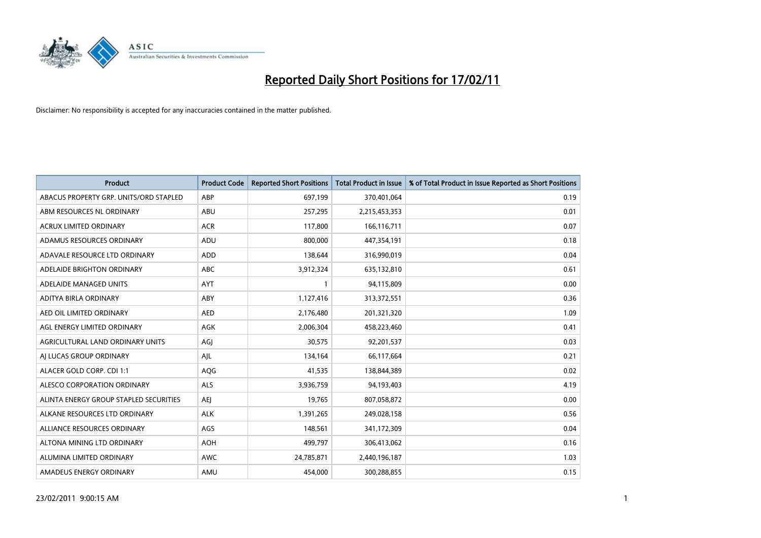

| <b>Product</b>                         | <b>Product Code</b> | <b>Reported Short Positions</b> | <b>Total Product in Issue</b> | % of Total Product in Issue Reported as Short Positions |
|----------------------------------------|---------------------|---------------------------------|-------------------------------|---------------------------------------------------------|
| ABACUS PROPERTY GRP. UNITS/ORD STAPLED | ABP                 | 697,199                         | 370,401,064                   | 0.19                                                    |
| ABM RESOURCES NL ORDINARY              | ABU                 | 257,295                         | 2,215,453,353                 | 0.01                                                    |
| <b>ACRUX LIMITED ORDINARY</b>          | <b>ACR</b>          | 117,800                         | 166,116,711                   | 0.07                                                    |
| ADAMUS RESOURCES ORDINARY              | ADU                 | 800,000                         | 447,354,191                   | 0.18                                                    |
| ADAVALE RESOURCE LTD ORDINARY          | <b>ADD</b>          | 138,644                         | 316,990,019                   | 0.04                                                    |
| ADELAIDE BRIGHTON ORDINARY             | <b>ABC</b>          | 3,912,324                       | 635,132,810                   | 0.61                                                    |
| ADELAIDE MANAGED UNITS                 | <b>AYT</b>          |                                 | 94,115,809                    | 0.00                                                    |
| ADITYA BIRLA ORDINARY                  | ABY                 | 1,127,416                       | 313,372,551                   | 0.36                                                    |
| AED OIL LIMITED ORDINARY               | <b>AED</b>          | 2,176,480                       | 201,321,320                   | 1.09                                                    |
| AGL ENERGY LIMITED ORDINARY            | <b>AGK</b>          | 2,006,304                       | 458,223,460                   | 0.41                                                    |
| AGRICULTURAL LAND ORDINARY UNITS       | AGJ                 | 30,575                          | 92,201,537                    | 0.03                                                    |
| AI LUCAS GROUP ORDINARY                | AJL                 | 134,164                         | 66,117,664                    | 0.21                                                    |
| ALACER GOLD CORP. CDI 1:1              | AQG                 | 41,535                          | 138,844,389                   | 0.02                                                    |
| ALESCO CORPORATION ORDINARY            | ALS                 | 3,936,759                       | 94,193,403                    | 4.19                                                    |
| ALINTA ENERGY GROUP STAPLED SECURITIES | AEJ                 | 19,765                          | 807,058,872                   | 0.00                                                    |
| ALKANE RESOURCES LTD ORDINARY          | <b>ALK</b>          | 1,391,265                       | 249,028,158                   | 0.56                                                    |
| ALLIANCE RESOURCES ORDINARY            | AGS                 | 148,561                         | 341,172,309                   | 0.04                                                    |
| ALTONA MINING LTD ORDINARY             | <b>AOH</b>          | 499,797                         | 306,413,062                   | 0.16                                                    |
| ALUMINA LIMITED ORDINARY               | <b>AWC</b>          | 24,785,871                      | 2,440,196,187                 | 1.03                                                    |
| AMADEUS ENERGY ORDINARY                | AMU                 | 454.000                         | 300,288,855                   | 0.15                                                    |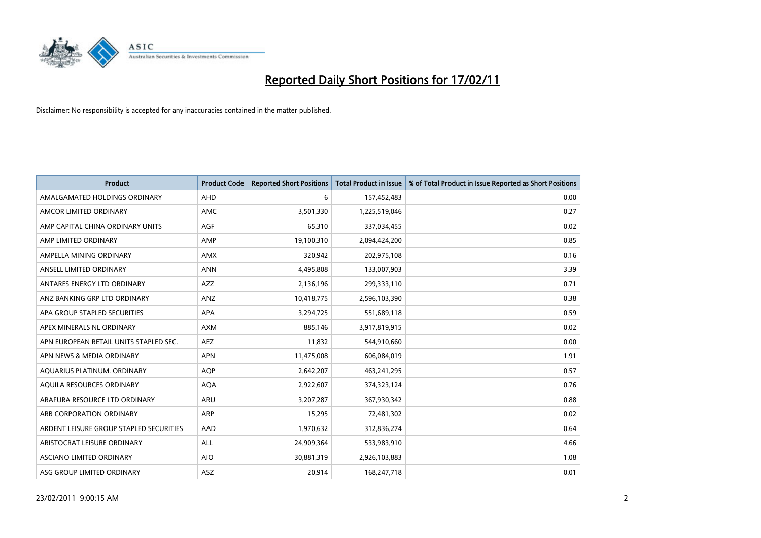

| Product                                 | <b>Product Code</b> | <b>Reported Short Positions</b> | <b>Total Product in Issue</b> | % of Total Product in Issue Reported as Short Positions |
|-----------------------------------------|---------------------|---------------------------------|-------------------------------|---------------------------------------------------------|
| AMALGAMATED HOLDINGS ORDINARY           | AHD                 | 6                               | 157,452,483                   | 0.00                                                    |
| AMCOR LIMITED ORDINARY                  | <b>AMC</b>          | 3,501,330                       | 1,225,519,046                 | 0.27                                                    |
| AMP CAPITAL CHINA ORDINARY UNITS        | <b>AGF</b>          | 65,310                          | 337,034,455                   | 0.02                                                    |
| AMP LIMITED ORDINARY                    | AMP                 | 19,100,310                      | 2,094,424,200                 | 0.85                                                    |
| AMPELLA MINING ORDINARY                 | <b>AMX</b>          | 320,942                         | 202,975,108                   | 0.16                                                    |
| ANSELL LIMITED ORDINARY                 | <b>ANN</b>          | 4,495,808                       | 133,007,903                   | 3.39                                                    |
| ANTARES ENERGY LTD ORDINARY             | <b>AZZ</b>          | 2,136,196                       | 299,333,110                   | 0.71                                                    |
| ANZ BANKING GRP LTD ORDINARY            | ANZ                 | 10,418,775                      | 2,596,103,390                 | 0.38                                                    |
| APA GROUP STAPLED SECURITIES            | <b>APA</b>          | 3,294,725                       | 551,689,118                   | 0.59                                                    |
| APEX MINERALS NL ORDINARY               | <b>AXM</b>          | 885.146                         | 3,917,819,915                 | 0.02                                                    |
| APN EUROPEAN RETAIL UNITS STAPLED SEC.  | <b>AEZ</b>          | 11,832                          | 544,910,660                   | 0.00                                                    |
| APN NEWS & MEDIA ORDINARY               | <b>APN</b>          | 11,475,008                      | 606,084,019                   | 1.91                                                    |
| AQUARIUS PLATINUM. ORDINARY             | <b>AOP</b>          | 2,642,207                       | 463,241,295                   | 0.57                                                    |
| AOUILA RESOURCES ORDINARY               | <b>AQA</b>          | 2,922,607                       | 374,323,124                   | 0.76                                                    |
| ARAFURA RESOURCE LTD ORDINARY           | <b>ARU</b>          | 3,207,287                       | 367,930,342                   | 0.88                                                    |
| ARB CORPORATION ORDINARY                | <b>ARP</b>          | 15,295                          | 72,481,302                    | 0.02                                                    |
| ARDENT LEISURE GROUP STAPLED SECURITIES | AAD                 | 1,970,632                       | 312,836,274                   | 0.64                                                    |
| ARISTOCRAT LEISURE ORDINARY             | <b>ALL</b>          | 24,909,364                      | 533,983,910                   | 4.66                                                    |
| ASCIANO LIMITED ORDINARY                | <b>AIO</b>          | 30,881,319                      | 2,926,103,883                 | 1.08                                                    |
| ASG GROUP LIMITED ORDINARY              | <b>ASZ</b>          | 20,914                          | 168,247,718                   | 0.01                                                    |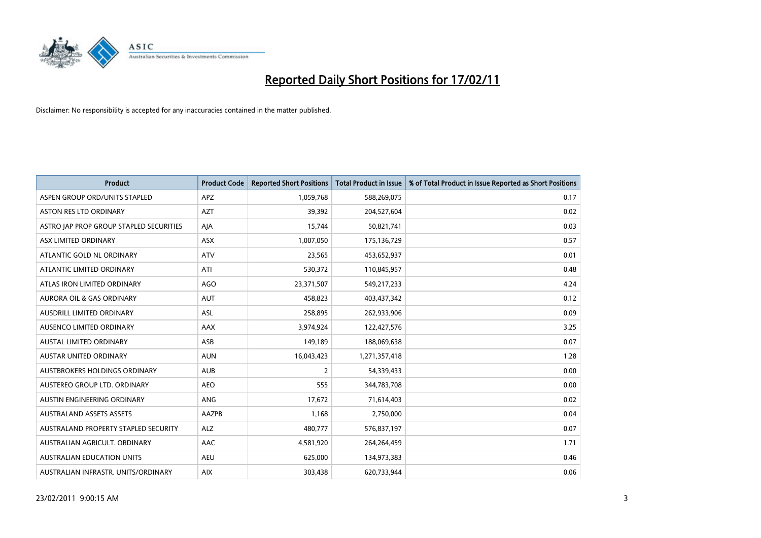

| <b>Product</b>                          | <b>Product Code</b> | <b>Reported Short Positions</b> | <b>Total Product in Issue</b> | % of Total Product in Issue Reported as Short Positions |
|-----------------------------------------|---------------------|---------------------------------|-------------------------------|---------------------------------------------------------|
| ASPEN GROUP ORD/UNITS STAPLED           | <b>APZ</b>          | 1,059,768                       | 588,269,075                   | 0.17                                                    |
| ASTON RES LTD ORDINARY                  | <b>AZT</b>          | 39,392                          | 204,527,604                   | 0.02                                                    |
| ASTRO JAP PROP GROUP STAPLED SECURITIES | AJA                 | 15,744                          | 50,821,741                    | 0.03                                                    |
| ASX LIMITED ORDINARY                    | ASX                 | 1,007,050                       | 175,136,729                   | 0.57                                                    |
| ATLANTIC GOLD NL ORDINARY               | <b>ATV</b>          | 23,565                          | 453,652,937                   | 0.01                                                    |
| ATLANTIC LIMITED ORDINARY               | ATI                 | 530,372                         | 110,845,957                   | 0.48                                                    |
| ATLAS IRON LIMITED ORDINARY             | AGO                 | 23,371,507                      | 549,217,233                   | 4.24                                                    |
| <b>AURORA OIL &amp; GAS ORDINARY</b>    | <b>AUT</b>          | 458,823                         | 403,437,342                   | 0.12                                                    |
| AUSDRILL LIMITED ORDINARY               | ASL                 | 258,895                         | 262,933,906                   | 0.09                                                    |
| AUSENCO LIMITED ORDINARY                | AAX                 | 3,974,924                       | 122,427,576                   | 3.25                                                    |
| <b>AUSTAL LIMITED ORDINARY</b>          | ASB                 | 149,189                         | 188,069,638                   | 0.07                                                    |
| <b>AUSTAR UNITED ORDINARY</b>           | <b>AUN</b>          | 16,043,423                      | 1,271,357,418                 | 1.28                                                    |
| AUSTBROKERS HOLDINGS ORDINARY           | <b>AUB</b>          | $\overline{2}$                  | 54,339,433                    | 0.00                                                    |
| AUSTEREO GROUP LTD. ORDINARY            | <b>AEO</b>          | 555                             | 344,783,708                   | 0.00                                                    |
| AUSTIN ENGINEERING ORDINARY             | ANG                 | 17,672                          | 71,614,403                    | 0.02                                                    |
| <b>AUSTRALAND ASSETS ASSETS</b>         | AAZPB               | 1,168                           | 2,750,000                     | 0.04                                                    |
| AUSTRALAND PROPERTY STAPLED SECURITY    | <b>ALZ</b>          | 480,777                         | 576,837,197                   | 0.07                                                    |
| AUSTRALIAN AGRICULT. ORDINARY           | AAC                 | 4,581,920                       | 264,264,459                   | 1.71                                                    |
| <b>AUSTRALIAN EDUCATION UNITS</b>       | <b>AEU</b>          | 625,000                         | 134,973,383                   | 0.46                                                    |
| AUSTRALIAN INFRASTR, UNITS/ORDINARY     | <b>AIX</b>          | 303,438                         | 620,733,944                   | 0.06                                                    |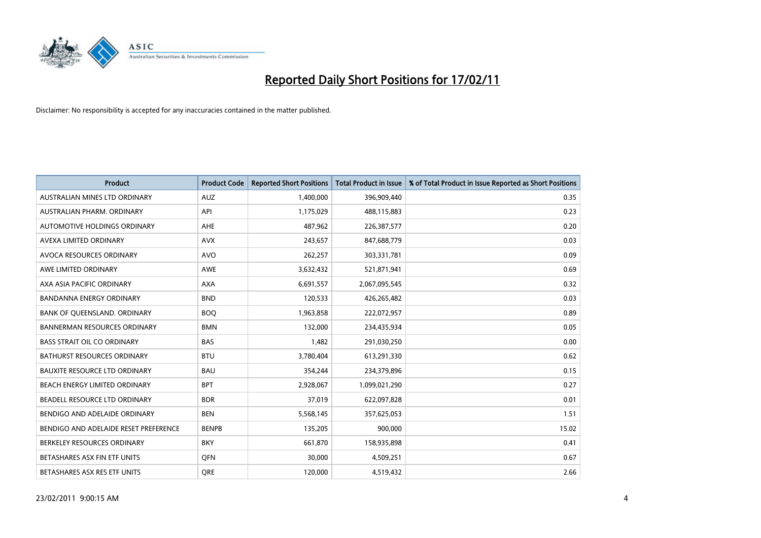

| <b>Product</b>                        | <b>Product Code</b> | <b>Reported Short Positions</b> | <b>Total Product in Issue</b> | % of Total Product in Issue Reported as Short Positions |
|---------------------------------------|---------------------|---------------------------------|-------------------------------|---------------------------------------------------------|
| AUSTRALIAN MINES LTD ORDINARY         | <b>AUZ</b>          | 1,400,000                       | 396,909,440                   | 0.35                                                    |
| AUSTRALIAN PHARM. ORDINARY            | API                 | 1,175,029                       | 488,115,883                   | 0.23                                                    |
| AUTOMOTIVE HOLDINGS ORDINARY          | <b>AHE</b>          | 487,962                         | 226,387,577                   | 0.20                                                    |
| AVEXA LIMITED ORDINARY                | <b>AVX</b>          | 243,657                         | 847,688,779                   | 0.03                                                    |
| <b>AVOCA RESOURCES ORDINARY</b>       | <b>AVO</b>          | 262,257                         | 303,331,781                   | 0.09                                                    |
| AWE LIMITED ORDINARY                  | <b>AWE</b>          | 3,632,432                       | 521,871,941                   | 0.69                                                    |
| AXA ASIA PACIFIC ORDINARY             | <b>AXA</b>          | 6,691,557                       | 2,067,095,545                 | 0.32                                                    |
| <b>BANDANNA ENERGY ORDINARY</b>       | <b>BND</b>          | 120,533                         | 426,265,482                   | 0.03                                                    |
| BANK OF QUEENSLAND. ORDINARY          | <b>BOQ</b>          | 1,963,858                       | 222,072,957                   | 0.89                                                    |
| <b>BANNERMAN RESOURCES ORDINARY</b>   | <b>BMN</b>          | 132,000                         | 234,435,934                   | 0.05                                                    |
| <b>BASS STRAIT OIL CO ORDINARY</b>    | <b>BAS</b>          | 1,482                           | 291,030,250                   | 0.00                                                    |
| <b>BATHURST RESOURCES ORDINARY</b>    | <b>BTU</b>          | 3,780,404                       | 613,291,330                   | 0.62                                                    |
| <b>BAUXITE RESOURCE LTD ORDINARY</b>  | <b>BAU</b>          | 354,244                         | 234,379,896                   | 0.15                                                    |
| <b>BEACH ENERGY LIMITED ORDINARY</b>  | <b>BPT</b>          | 2,928,067                       | 1,099,021,290                 | 0.27                                                    |
| BEADELL RESOURCE LTD ORDINARY         | <b>BDR</b>          | 37,019                          | 622,097,828                   | 0.01                                                    |
| BENDIGO AND ADELAIDE ORDINARY         | <b>BEN</b>          | 5,568,145                       | 357,625,053                   | 1.51                                                    |
| BENDIGO AND ADELAIDE RESET PREFERENCE | <b>BENPB</b>        | 135,205                         | 900,000                       | 15.02                                                   |
| BERKELEY RESOURCES ORDINARY           | <b>BKY</b>          | 661,870                         | 158,935,898                   | 0.41                                                    |
| BETASHARES ASX FIN ETF UNITS          | <b>OFN</b>          | 30,000                          | 4,509,251                     | 0.67                                                    |
| BETASHARES ASX RES ETF UNITS          | <b>ORE</b>          | 120,000                         | 4,519,432                     | 2.66                                                    |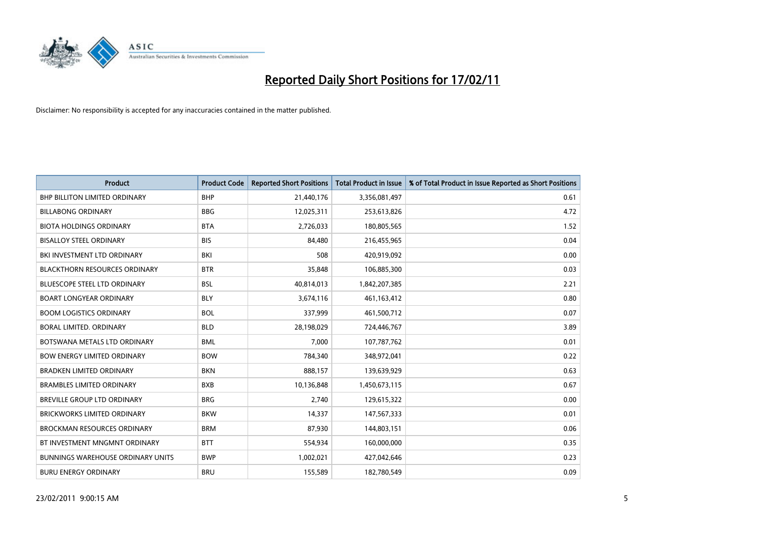

| Product                                  | <b>Product Code</b> | <b>Reported Short Positions</b> | <b>Total Product in Issue</b> | % of Total Product in Issue Reported as Short Positions |
|------------------------------------------|---------------------|---------------------------------|-------------------------------|---------------------------------------------------------|
| <b>BHP BILLITON LIMITED ORDINARY</b>     | <b>BHP</b>          | 21,440,176                      | 3,356,081,497                 | 0.61                                                    |
| <b>BILLABONG ORDINARY</b>                | <b>BBG</b>          | 12,025,311                      | 253,613,826                   | 4.72                                                    |
| <b>BIOTA HOLDINGS ORDINARY</b>           | <b>BTA</b>          | 2,726,033                       | 180,805,565                   | 1.52                                                    |
| <b>BISALLOY STEEL ORDINARY</b>           | <b>BIS</b>          | 84,480                          | 216,455,965                   | 0.04                                                    |
| BKI INVESTMENT LTD ORDINARY              | BKI                 | 508                             | 420,919,092                   | 0.00                                                    |
| <b>BLACKTHORN RESOURCES ORDINARY</b>     | <b>BTR</b>          | 35,848                          | 106,885,300                   | 0.03                                                    |
| <b>BLUESCOPE STEEL LTD ORDINARY</b>      | <b>BSL</b>          | 40,814,013                      | 1,842,207,385                 | 2.21                                                    |
| <b>BOART LONGYEAR ORDINARY</b>           | <b>BLY</b>          | 3,674,116                       | 461,163,412                   | 0.80                                                    |
| <b>BOOM LOGISTICS ORDINARY</b>           | <b>BOL</b>          | 337,999                         | 461,500,712                   | 0.07                                                    |
| <b>BORAL LIMITED, ORDINARY</b>           | <b>BLD</b>          | 28,198,029                      | 724,446,767                   | 3.89                                                    |
| BOTSWANA METALS LTD ORDINARY             | <b>BML</b>          | 7,000                           | 107,787,762                   | 0.01                                                    |
| <b>BOW ENERGY LIMITED ORDINARY</b>       | <b>BOW</b>          | 784,340                         | 348,972,041                   | 0.22                                                    |
| <b>BRADKEN LIMITED ORDINARY</b>          | <b>BKN</b>          | 888,157                         | 139,639,929                   | 0.63                                                    |
| <b>BRAMBLES LIMITED ORDINARY</b>         | <b>BXB</b>          | 10,136,848                      | 1,450,673,115                 | 0.67                                                    |
| BREVILLE GROUP LTD ORDINARY              | <b>BRG</b>          | 2,740                           | 129,615,322                   | 0.00                                                    |
| <b>BRICKWORKS LIMITED ORDINARY</b>       | <b>BKW</b>          | 14,337                          | 147,567,333                   | 0.01                                                    |
| <b>BROCKMAN RESOURCES ORDINARY</b>       | <b>BRM</b>          | 87,930                          | 144,803,151                   | 0.06                                                    |
| BT INVESTMENT MNGMNT ORDINARY            | <b>BTT</b>          | 554,934                         | 160,000,000                   | 0.35                                                    |
| <b>BUNNINGS WAREHOUSE ORDINARY UNITS</b> | <b>BWP</b>          | 1,002,021                       | 427,042,646                   | 0.23                                                    |
| <b>BURU ENERGY ORDINARY</b>              | <b>BRU</b>          | 155,589                         | 182,780,549                   | 0.09                                                    |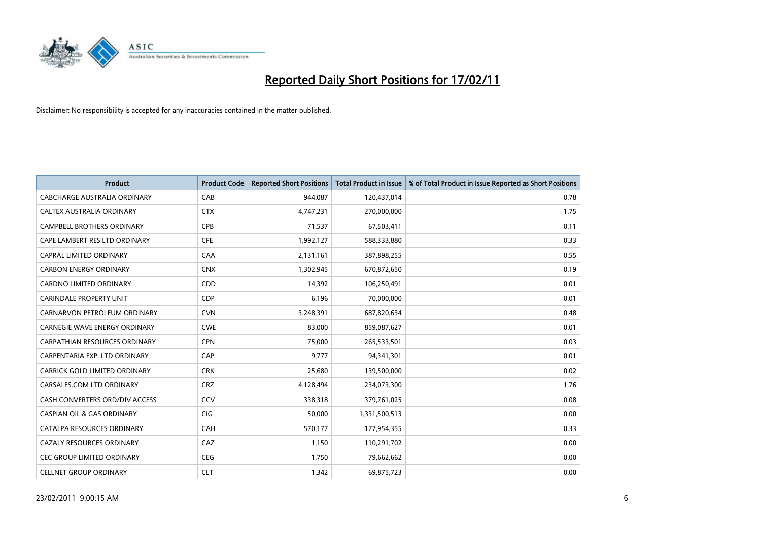

| Product                               | <b>Product Code</b> | <b>Reported Short Positions</b> | <b>Total Product in Issue</b> | % of Total Product in Issue Reported as Short Positions |
|---------------------------------------|---------------------|---------------------------------|-------------------------------|---------------------------------------------------------|
| <b>CABCHARGE AUSTRALIA ORDINARY</b>   | CAB                 | 944,087                         | 120,437,014                   | 0.78                                                    |
| CALTEX AUSTRALIA ORDINARY             | <b>CTX</b>          | 4,747,231                       | 270,000,000                   | 1.75                                                    |
| <b>CAMPBELL BROTHERS ORDINARY</b>     | CPB                 | 71,537                          | 67,503,411                    | 0.11                                                    |
| CAPE LAMBERT RES LTD ORDINARY         | <b>CFE</b>          | 1,992,127                       | 588,333,880                   | 0.33                                                    |
| CAPRAL LIMITED ORDINARY               | CAA                 | 2,131,161                       | 387,898,255                   | 0.55                                                    |
| <b>CARBON ENERGY ORDINARY</b>         | <b>CNX</b>          | 1,302,945                       | 670,872,650                   | 0.19                                                    |
| <b>CARDNO LIMITED ORDINARY</b>        | CDD                 | 14,392                          | 106,250,491                   | 0.01                                                    |
| <b>CARINDALE PROPERTY UNIT</b>        | <b>CDP</b>          | 6,196                           | 70,000,000                    | 0.01                                                    |
| CARNARVON PETROLEUM ORDINARY          | <b>CVN</b>          | 3,248,391                       | 687,820,634                   | 0.48                                                    |
| <b>CARNEGIE WAVE ENERGY ORDINARY</b>  | <b>CWE</b>          | 83,000                          | 859,087,627                   | 0.01                                                    |
| <b>CARPATHIAN RESOURCES ORDINARY</b>  | <b>CPN</b>          | 75,000                          | 265,533,501                   | 0.03                                                    |
| CARPENTARIA EXP. LTD ORDINARY         | <b>CAP</b>          | 9,777                           | 94,341,301                    | 0.01                                                    |
| CARRICK GOLD LIMITED ORDINARY         | <b>CRK</b>          | 25,680                          | 139,500,000                   | 0.02                                                    |
| CARSALES.COM LTD ORDINARY             | <b>CRZ</b>          | 4,128,494                       | 234,073,300                   | 1.76                                                    |
| CASH CONVERTERS ORD/DIV ACCESS        | CCV                 | 338,318                         | 379,761,025                   | 0.08                                                    |
| <b>CASPIAN OIL &amp; GAS ORDINARY</b> | <b>CIG</b>          | 50,000                          | 1,331,500,513                 | 0.00                                                    |
| CATALPA RESOURCES ORDINARY            | CAH                 | 570,177                         | 177,954,355                   | 0.33                                                    |
| CAZALY RESOURCES ORDINARY             | CAZ                 | 1,150                           | 110,291,702                   | 0.00                                                    |
| <b>CEC GROUP LIMITED ORDINARY</b>     | <b>CEG</b>          | 1,750                           | 79,662,662                    | 0.00                                                    |
| <b>CELLNET GROUP ORDINARY</b>         | <b>CLT</b>          | 1,342                           | 69,875,723                    | 0.00                                                    |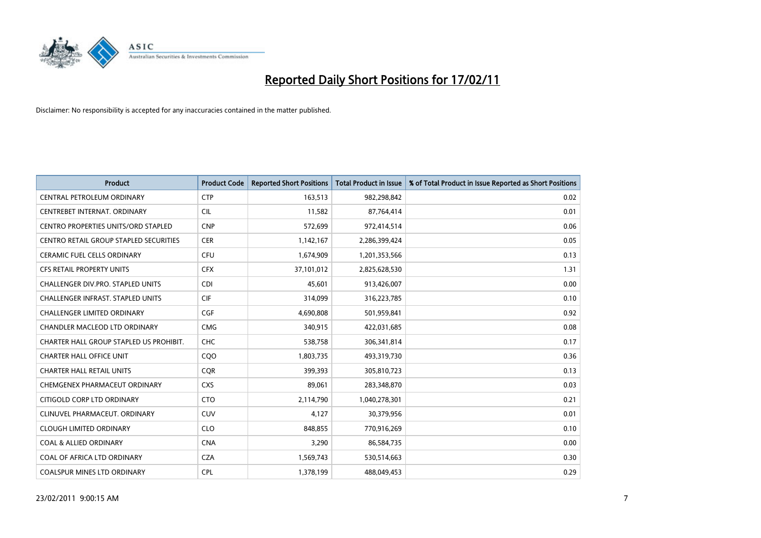

| <b>Product</b>                             | <b>Product Code</b> | <b>Reported Short Positions</b> | <b>Total Product in Issue</b> | % of Total Product in Issue Reported as Short Positions |
|--------------------------------------------|---------------------|---------------------------------|-------------------------------|---------------------------------------------------------|
| CENTRAL PETROLEUM ORDINARY                 | <b>CTP</b>          | 163,513                         | 982,298,842                   | 0.02                                                    |
| CENTREBET INTERNAT. ORDINARY               | <b>CIL</b>          | 11,582                          | 87,764,414                    | 0.01                                                    |
| <b>CENTRO PROPERTIES UNITS/ORD STAPLED</b> | <b>CNP</b>          | 572,699                         | 972,414,514                   | 0.06                                                    |
| CENTRO RETAIL GROUP STAPLED SECURITIES     | <b>CER</b>          | 1,142,167                       | 2,286,399,424                 | 0.05                                                    |
| CERAMIC FUEL CELLS ORDINARY                | <b>CFU</b>          | 1,674,909                       | 1,201,353,566                 | 0.13                                                    |
| <b>CFS RETAIL PROPERTY UNITS</b>           | <b>CFX</b>          | 37,101,012                      | 2,825,628,530                 | 1.31                                                    |
| <b>CHALLENGER DIV.PRO. STAPLED UNITS</b>   | <b>CDI</b>          | 45.601                          | 913,426,007                   | 0.00                                                    |
| <b>CHALLENGER INFRAST, STAPLED UNITS</b>   | <b>CIF</b>          | 314,099                         | 316,223,785                   | 0.10                                                    |
| CHALLENGER LIMITED ORDINARY                | <b>CGF</b>          | 4,690,808                       | 501,959,841                   | 0.92                                                    |
| CHANDLER MACLEOD LTD ORDINARY              | <b>CMG</b>          | 340,915                         | 422,031,685                   | 0.08                                                    |
| CHARTER HALL GROUP STAPLED US PROHIBIT.    | <b>CHC</b>          | 538,758                         | 306,341,814                   | 0.17                                                    |
| <b>CHARTER HALL OFFICE UNIT</b>            | CQ <sub>O</sub>     | 1,803,735                       | 493,319,730                   | 0.36                                                    |
| <b>CHARTER HALL RETAIL UNITS</b>           | <b>CQR</b>          | 399,393                         | 305,810,723                   | 0.13                                                    |
| <b>CHEMGENEX PHARMACEUT ORDINARY</b>       | <b>CXS</b>          | 89,061                          | 283,348,870                   | 0.03                                                    |
| CITIGOLD CORP LTD ORDINARY                 | <b>CTO</b>          | 2,114,790                       | 1,040,278,301                 | 0.21                                                    |
| CLINUVEL PHARMACEUT. ORDINARY              | <b>CUV</b>          | 4,127                           | 30,379,956                    | 0.01                                                    |
| <b>CLOUGH LIMITED ORDINARY</b>             | <b>CLO</b>          | 848,855                         | 770,916,269                   | 0.10                                                    |
| <b>COAL &amp; ALLIED ORDINARY</b>          | <b>CNA</b>          | 3,290                           | 86,584,735                    | 0.00                                                    |
| COAL OF AFRICA LTD ORDINARY                | <b>CZA</b>          | 1,569,743                       | 530,514,663                   | 0.30                                                    |
| <b>COALSPUR MINES LTD ORDINARY</b>         | <b>CPL</b>          | 1,378,199                       | 488,049,453                   | 0.29                                                    |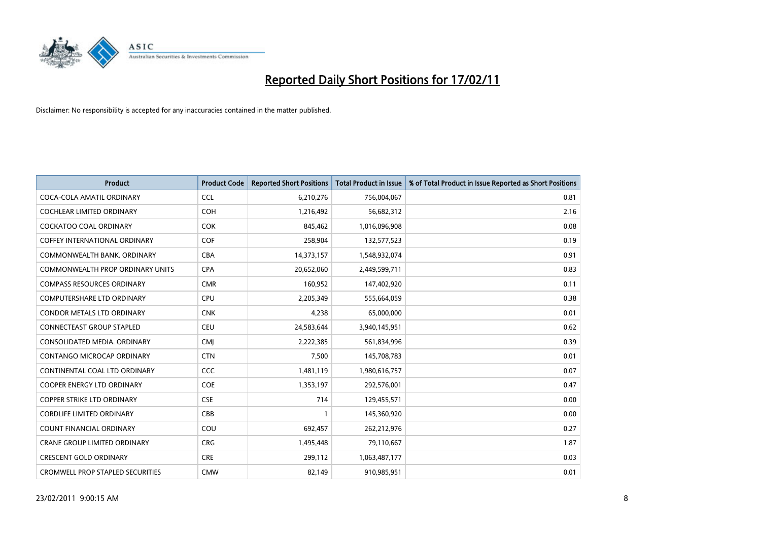

| <b>Product</b>                          | <b>Product Code</b> | <b>Reported Short Positions</b> | Total Product in Issue | % of Total Product in Issue Reported as Short Positions |
|-----------------------------------------|---------------------|---------------------------------|------------------------|---------------------------------------------------------|
| COCA-COLA AMATIL ORDINARY               | <b>CCL</b>          | 6,210,276                       | 756,004,067            | 0.81                                                    |
| <b>COCHLEAR LIMITED ORDINARY</b>        | <b>COH</b>          | 1,216,492                       | 56,682,312             | 2.16                                                    |
| <b>COCKATOO COAL ORDINARY</b>           | <b>COK</b>          | 845,462                         | 1,016,096,908          | 0.08                                                    |
| COFFEY INTERNATIONAL ORDINARY           | <b>COF</b>          | 258,904                         | 132,577,523            | 0.19                                                    |
| COMMONWEALTH BANK, ORDINARY             | <b>CBA</b>          | 14,373,157                      | 1,548,932,074          | 0.91                                                    |
| COMMONWEALTH PROP ORDINARY UNITS        | <b>CPA</b>          | 20,652,060                      | 2,449,599,711          | 0.83                                                    |
| <b>COMPASS RESOURCES ORDINARY</b>       | <b>CMR</b>          | 160,952                         | 147,402,920            | 0.11                                                    |
| <b>COMPUTERSHARE LTD ORDINARY</b>       | <b>CPU</b>          | 2,205,349                       | 555,664,059            | 0.38                                                    |
| <b>CONDOR METALS LTD ORDINARY</b>       | <b>CNK</b>          | 4,238                           | 65,000,000             | 0.01                                                    |
| <b>CONNECTEAST GROUP STAPLED</b>        | <b>CEU</b>          | 24,583,644                      | 3,940,145,951          | 0.62                                                    |
| CONSOLIDATED MEDIA, ORDINARY            | <b>CMI</b>          | 2,222,385                       | 561,834,996            | 0.39                                                    |
| <b>CONTANGO MICROCAP ORDINARY</b>       | <b>CTN</b>          | 7,500                           | 145,708,783            | 0.01                                                    |
| CONTINENTAL COAL LTD ORDINARY           | <b>CCC</b>          | 1,481,119                       | 1,980,616,757          | 0.07                                                    |
| <b>COOPER ENERGY LTD ORDINARY</b>       | <b>COE</b>          | 1,353,197                       | 292,576,001            | 0.47                                                    |
| <b>COPPER STRIKE LTD ORDINARY</b>       | <b>CSE</b>          | 714                             | 129,455,571            | 0.00                                                    |
| <b>CORDLIFE LIMITED ORDINARY</b>        | CBB                 |                                 | 145,360,920            | 0.00                                                    |
| <b>COUNT FINANCIAL ORDINARY</b>         | COU                 | 692,457                         | 262,212,976            | 0.27                                                    |
| <b>CRANE GROUP LIMITED ORDINARY</b>     | <b>CRG</b>          | 1,495,448                       | 79,110,667             | 1.87                                                    |
| <b>CRESCENT GOLD ORDINARY</b>           | <b>CRE</b>          | 299,112                         | 1,063,487,177          | 0.03                                                    |
| <b>CROMWELL PROP STAPLED SECURITIES</b> | <b>CMW</b>          | 82,149                          | 910,985,951            | 0.01                                                    |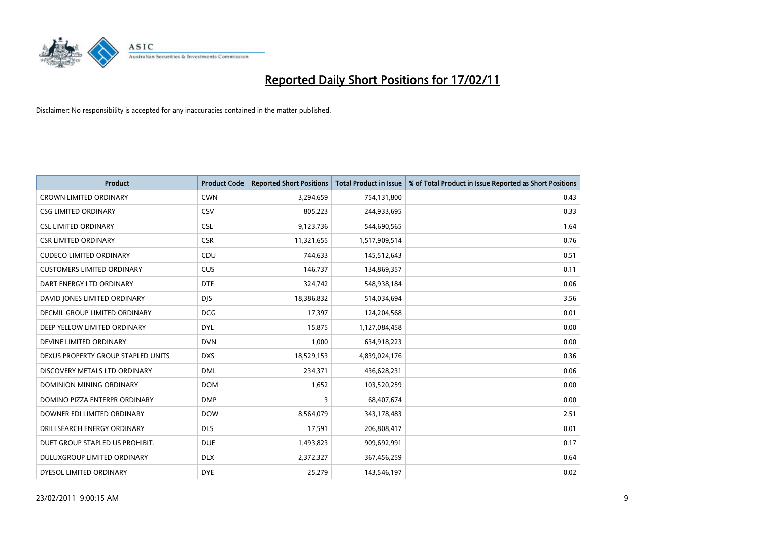

| Product                            | <b>Product Code</b> | <b>Reported Short Positions</b> | <b>Total Product in Issue</b> | % of Total Product in Issue Reported as Short Positions |
|------------------------------------|---------------------|---------------------------------|-------------------------------|---------------------------------------------------------|
| <b>CROWN LIMITED ORDINARY</b>      | <b>CWN</b>          | 3,294,659                       | 754,131,800                   | 0.43                                                    |
| <b>CSG LIMITED ORDINARY</b>        | <b>CSV</b>          | 805,223                         | 244,933,695                   | 0.33                                                    |
| <b>CSL LIMITED ORDINARY</b>        | <b>CSL</b>          | 9,123,736                       | 544,690,565                   | 1.64                                                    |
| <b>CSR LIMITED ORDINARY</b>        | <b>CSR</b>          | 11,321,655                      | 1,517,909,514                 | 0.76                                                    |
| <b>CUDECO LIMITED ORDINARY</b>     | CDU                 | 744,633                         | 145,512,643                   | 0.51                                                    |
| <b>CUSTOMERS LIMITED ORDINARY</b>  | <b>CUS</b>          | 146,737                         | 134,869,357                   | 0.11                                                    |
| DART ENERGY LTD ORDINARY           | <b>DTE</b>          | 324,742                         | 548,938,184                   | 0.06                                                    |
| DAVID JONES LIMITED ORDINARY       | <b>DJS</b>          | 18,386,832                      | 514,034,694                   | 3.56                                                    |
| DECMIL GROUP LIMITED ORDINARY      | <b>DCG</b>          | 17,397                          | 124,204,568                   | 0.01                                                    |
| DEEP YELLOW LIMITED ORDINARY       | <b>DYL</b>          | 15,875                          | 1,127,084,458                 | 0.00                                                    |
| DEVINE LIMITED ORDINARY            | <b>DVN</b>          | 1,000                           | 634,918,223                   | 0.00                                                    |
| DEXUS PROPERTY GROUP STAPLED UNITS | <b>DXS</b>          | 18,529,153                      | 4,839,024,176                 | 0.36                                                    |
| DISCOVERY METALS LTD ORDINARY      | <b>DML</b>          | 234,371                         | 436,628,231                   | 0.06                                                    |
| DOMINION MINING ORDINARY           | <b>DOM</b>          | 1,652                           | 103,520,259                   | 0.00                                                    |
| DOMINO PIZZA ENTERPR ORDINARY      | <b>DMP</b>          | 3                               | 68,407,674                    | 0.00                                                    |
| DOWNER EDI LIMITED ORDINARY        | <b>DOW</b>          | 8,564,079                       | 343,178,483                   | 2.51                                                    |
| DRILLSEARCH ENERGY ORDINARY        | <b>DLS</b>          | 17,591                          | 206,808,417                   | 0.01                                                    |
| DUET GROUP STAPLED US PROHIBIT.    | <b>DUE</b>          | 1,493,823                       | 909,692,991                   | 0.17                                                    |
| DULUXGROUP LIMITED ORDINARY        | <b>DLX</b>          | 2,372,327                       | 367,456,259                   | 0.64                                                    |
| DYESOL LIMITED ORDINARY            | <b>DYE</b>          | 25,279                          | 143,546,197                   | 0.02                                                    |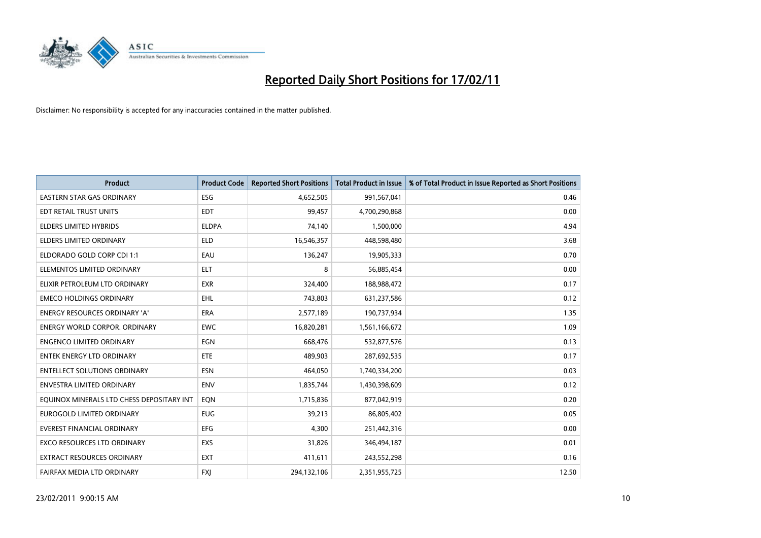

| <b>Product</b>                            | <b>Product Code</b> | <b>Reported Short Positions</b> | <b>Total Product in Issue</b> | % of Total Product in Issue Reported as Short Positions |
|-------------------------------------------|---------------------|---------------------------------|-------------------------------|---------------------------------------------------------|
| <b>EASTERN STAR GAS ORDINARY</b>          | <b>ESG</b>          | 4,652,505                       | 991,567,041                   | 0.46                                                    |
| EDT RETAIL TRUST UNITS                    | <b>EDT</b>          | 99,457                          | 4,700,290,868                 | 0.00                                                    |
| <b>ELDERS LIMITED HYBRIDS</b>             | <b>ELDPA</b>        | 74,140                          | 1,500,000                     | 4.94                                                    |
| <b>ELDERS LIMITED ORDINARY</b>            | <b>ELD</b>          | 16,546,357                      | 448,598,480                   | 3.68                                                    |
| ELDORADO GOLD CORP CDI 1:1                | EAU                 | 136,247                         | 19,905,333                    | 0.70                                                    |
| ELEMENTOS LIMITED ORDINARY                | <b>ELT</b>          | 8                               | 56,885,454                    | 0.00                                                    |
| ELIXIR PETROLEUM LTD ORDINARY             | <b>EXR</b>          | 324,400                         | 188,988,472                   | 0.17                                                    |
| <b>EMECO HOLDINGS ORDINARY</b>            | <b>EHL</b>          | 743,803                         | 631,237,586                   | 0.12                                                    |
| ENERGY RESOURCES ORDINARY 'A'             | ERA                 | 2,577,189                       | 190,737,934                   | 1.35                                                    |
| <b>ENERGY WORLD CORPOR, ORDINARY</b>      | <b>EWC</b>          | 16,820,281                      | 1,561,166,672                 | 1.09                                                    |
| <b>ENGENCO LIMITED ORDINARY</b>           | EGN                 | 668,476                         | 532,877,576                   | 0.13                                                    |
| <b>ENTEK ENERGY LTD ORDINARY</b>          | ETE                 | 489,903                         | 287,692,535                   | 0.17                                                    |
| <b>ENTELLECT SOLUTIONS ORDINARY</b>       | <b>ESN</b>          | 464.050                         | 1,740,334,200                 | 0.03                                                    |
| <b>ENVESTRA LIMITED ORDINARY</b>          | <b>ENV</b>          | 1,835,744                       | 1,430,398,609                 | 0.12                                                    |
| EQUINOX MINERALS LTD CHESS DEPOSITARY INT | EON                 | 1,715,836                       | 877,042,919                   | 0.20                                                    |
| <b>EUROGOLD LIMITED ORDINARY</b>          | <b>EUG</b>          | 39,213                          | 86,805,402                    | 0.05                                                    |
| <b>EVEREST FINANCIAL ORDINARY</b>         | EFG                 | 4,300                           | 251,442,316                   | 0.00                                                    |
| EXCO RESOURCES LTD ORDINARY               | EXS                 | 31,826                          | 346,494,187                   | 0.01                                                    |
| EXTRACT RESOURCES ORDINARY                | <b>EXT</b>          | 411,611                         | 243,552,298                   | 0.16                                                    |
| FAIRFAX MEDIA LTD ORDINARY                | <b>FXI</b>          | 294,132,106                     | 2,351,955,725                 | 12.50                                                   |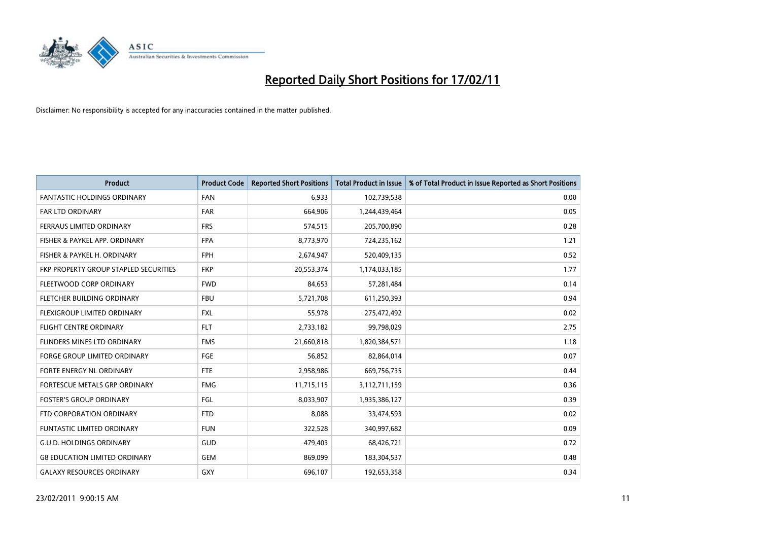

| <b>Product</b>                        | <b>Product Code</b> | <b>Reported Short Positions</b> | <b>Total Product in Issue</b> | % of Total Product in Issue Reported as Short Positions |
|---------------------------------------|---------------------|---------------------------------|-------------------------------|---------------------------------------------------------|
| <b>FANTASTIC HOLDINGS ORDINARY</b>    | <b>FAN</b>          | 6,933                           | 102,739,538                   | 0.00                                                    |
| FAR LTD ORDINARY                      | <b>FAR</b>          | 664,906                         | 1,244,439,464                 | 0.05                                                    |
| <b>FERRAUS LIMITED ORDINARY</b>       | <b>FRS</b>          | 574,515                         | 205,700,890                   | 0.28                                                    |
| FISHER & PAYKEL APP. ORDINARY         | <b>FPA</b>          | 8,773,970                       | 724,235,162                   | 1.21                                                    |
| FISHER & PAYKEL H. ORDINARY           | <b>FPH</b>          | 2,674,947                       | 520,409,135                   | 0.52                                                    |
| FKP PROPERTY GROUP STAPLED SECURITIES | <b>FKP</b>          | 20,553,374                      | 1,174,033,185                 | 1.77                                                    |
| FLEETWOOD CORP ORDINARY               | <b>FWD</b>          | 84,653                          | 57,281,484                    | 0.14                                                    |
| FLETCHER BUILDING ORDINARY            | <b>FBU</b>          | 5,721,708                       | 611,250,393                   | 0.94                                                    |
| FLEXIGROUP LIMITED ORDINARY           | <b>FXL</b>          | 55,978                          | 275,472,492                   | 0.02                                                    |
| <b>FLIGHT CENTRE ORDINARY</b>         | <b>FLT</b>          | 2,733,182                       | 99,798,029                    | 2.75                                                    |
| FLINDERS MINES LTD ORDINARY           | <b>FMS</b>          | 21,660,818                      | 1,820,384,571                 | 1.18                                                    |
| <b>FORGE GROUP LIMITED ORDINARY</b>   | FGE                 | 56,852                          | 82,864,014                    | 0.07                                                    |
| FORTE ENERGY NL ORDINARY              | <b>FTE</b>          | 2,958,986                       | 669,756,735                   | 0.44                                                    |
| FORTESCUE METALS GRP ORDINARY         | <b>FMG</b>          | 11,715,115                      | 3,112,711,159                 | 0.36                                                    |
| <b>FOSTER'S GROUP ORDINARY</b>        | <b>FGL</b>          | 8,033,907                       | 1,935,386,127                 | 0.39                                                    |
| FTD CORPORATION ORDINARY              | <b>FTD</b>          | 8.088                           | 33,474,593                    | 0.02                                                    |
| <b>FUNTASTIC LIMITED ORDINARY</b>     | <b>FUN</b>          | 322,528                         | 340,997,682                   | 0.09                                                    |
| <b>G.U.D. HOLDINGS ORDINARY</b>       | GUD                 | 479,403                         | 68,426,721                    | 0.72                                                    |
| <b>G8 EDUCATION LIMITED ORDINARY</b>  | <b>GEM</b>          | 869,099                         | 183,304,537                   | 0.48                                                    |
| <b>GALAXY RESOURCES ORDINARY</b>      | GXY                 | 696,107                         | 192,653,358                   | 0.34                                                    |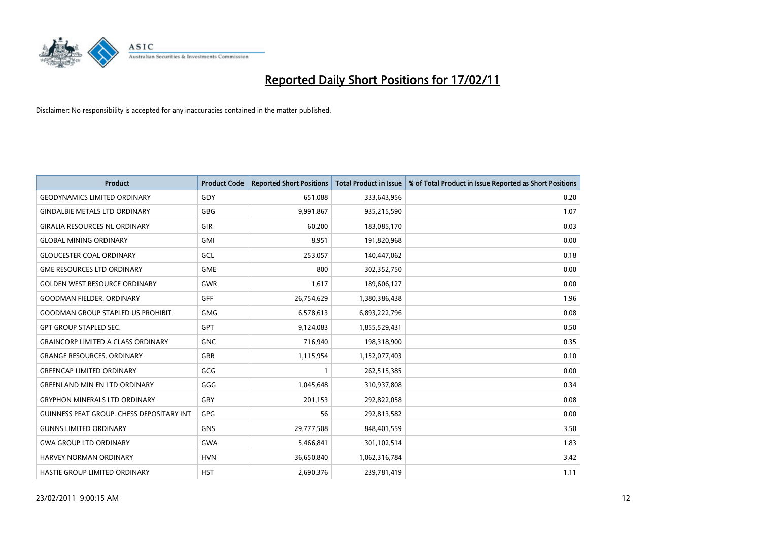

| <b>Product</b>                            | <b>Product Code</b> | <b>Reported Short Positions</b> | <b>Total Product in Issue</b> | % of Total Product in Issue Reported as Short Positions |
|-------------------------------------------|---------------------|---------------------------------|-------------------------------|---------------------------------------------------------|
| <b>GEODYNAMICS LIMITED ORDINARY</b>       | GDY                 | 651,088                         | 333,643,956                   | 0.20                                                    |
| <b>GINDALBIE METALS LTD ORDINARY</b>      | <b>GBG</b>          | 9,991,867                       | 935,215,590                   | 1.07                                                    |
| <b>GIRALIA RESOURCES NL ORDINARY</b>      | <b>GIR</b>          | 60,200                          | 183,085,170                   | 0.03                                                    |
| <b>GLOBAL MINING ORDINARY</b>             | <b>GMI</b>          | 8,951                           | 191,820,968                   | 0.00                                                    |
| <b>GLOUCESTER COAL ORDINARY</b>           | <b>GCL</b>          | 253,057                         | 140,447,062                   | 0.18                                                    |
| <b>GME RESOURCES LTD ORDINARY</b>         | <b>GME</b>          | 800                             | 302,352,750                   | 0.00                                                    |
| <b>GOLDEN WEST RESOURCE ORDINARY</b>      | <b>GWR</b>          | 1,617                           | 189,606,127                   | 0.00                                                    |
| <b>GOODMAN FIELDER, ORDINARY</b>          | GFF                 | 26,754,629                      | 1,380,386,438                 | 1.96                                                    |
| <b>GOODMAN GROUP STAPLED US PROHIBIT.</b> | <b>GMG</b>          | 6,578,613                       | 6,893,222,796                 | 0.08                                                    |
| <b>GPT GROUP STAPLED SEC.</b>             | <b>GPT</b>          | 9,124,083                       | 1,855,529,431                 | 0.50                                                    |
| <b>GRAINCORP LIMITED A CLASS ORDINARY</b> | <b>GNC</b>          | 716,940                         | 198,318,900                   | 0.35                                                    |
| <b>GRANGE RESOURCES, ORDINARY</b>         | <b>GRR</b>          | 1,115,954                       | 1,152,077,403                 | 0.10                                                    |
| <b>GREENCAP LIMITED ORDINARY</b>          | GCG                 |                                 | 262,515,385                   | 0.00                                                    |
| <b>GREENLAND MIN EN LTD ORDINARY</b>      | GGG                 | 1,045,648                       | 310,937,808                   | 0.34                                                    |
| <b>GRYPHON MINERALS LTD ORDINARY</b>      | GRY                 | 201,153                         | 292,822,058                   | 0.08                                                    |
| GUINNESS PEAT GROUP. CHESS DEPOSITARY INT | <b>GPG</b>          | 56                              | 292,813,582                   | 0.00                                                    |
| <b>GUNNS LIMITED ORDINARY</b>             | <b>GNS</b>          | 29,777,508                      | 848,401,559                   | 3.50                                                    |
| <b>GWA GROUP LTD ORDINARY</b>             | <b>GWA</b>          | 5,466,841                       | 301,102,514                   | 1.83                                                    |
| HARVEY NORMAN ORDINARY                    | <b>HVN</b>          | 36,650,840                      | 1,062,316,784                 | 3.42                                                    |
| <b>HASTIE GROUP LIMITED ORDINARY</b>      | <b>HST</b>          | 2.690.376                       | 239,781,419                   | 1.11                                                    |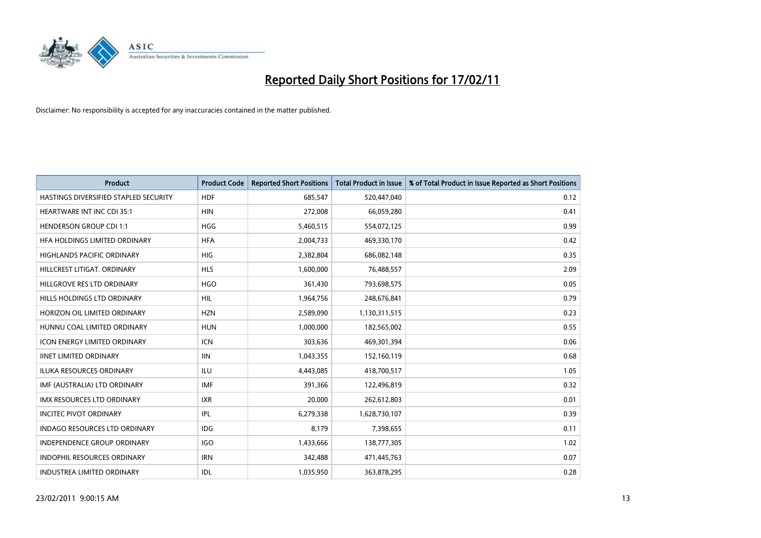

| Product                               | <b>Product Code</b> | <b>Reported Short Positions</b> | <b>Total Product in Issue</b> | % of Total Product in Issue Reported as Short Positions |
|---------------------------------------|---------------------|---------------------------------|-------------------------------|---------------------------------------------------------|
| HASTINGS DIVERSIFIED STAPLED SECURITY | <b>HDF</b>          | 685,547                         | 520,447,040                   | 0.12                                                    |
| <b>HEARTWARE INT INC CDI 35:1</b>     | <b>HIN</b>          | 272,008                         | 66,059,280                    | 0.41                                                    |
| <b>HENDERSON GROUP CDI 1:1</b>        | <b>HGG</b>          | 5,460,515                       | 554,072,125                   | 0.99                                                    |
| HFA HOLDINGS LIMITED ORDINARY         | <b>HFA</b>          | 2,004,733                       | 469,330,170                   | 0.42                                                    |
| <b>HIGHLANDS PACIFIC ORDINARY</b>     | <b>HIG</b>          | 2,382,804                       | 686,082,148                   | 0.35                                                    |
| HILLCREST LITIGAT, ORDINARY           | <b>HLS</b>          | 1,600,000                       | 76,488,557                    | 2.09                                                    |
| HILLGROVE RES LTD ORDINARY            | <b>HGO</b>          | 361,430                         | 793,698,575                   | 0.05                                                    |
| HILLS HOLDINGS LTD ORDINARY           | <b>HIL</b>          | 1,964,756                       | 248,676,841                   | 0.79                                                    |
| HORIZON OIL LIMITED ORDINARY          | <b>HZN</b>          | 2,589,090                       | 1,130,311,515                 | 0.23                                                    |
| HUNNU COAL LIMITED ORDINARY           | <b>HUN</b>          | 1,000,000                       | 182,565,002                   | 0.55                                                    |
| <b>ICON ENERGY LIMITED ORDINARY</b>   | <b>ICN</b>          | 303,636                         | 469,301,394                   | 0.06                                                    |
| <b>IINET LIMITED ORDINARY</b>         | <b>IIN</b>          | 1,043,355                       | 152,160,119                   | 0.68                                                    |
| <b>ILUKA RESOURCES ORDINARY</b>       | ILU                 | 4,443,085                       | 418,700,517                   | 1.05                                                    |
| IMF (AUSTRALIA) LTD ORDINARY          | <b>IMF</b>          | 391,366                         | 122,496,819                   | 0.32                                                    |
| <b>IMX RESOURCES LTD ORDINARY</b>     | <b>IXR</b>          | 20,000                          | 262,612,803                   | 0.01                                                    |
| <b>INCITEC PIVOT ORDINARY</b>         | IPL                 | 6,279,338                       | 1,628,730,107                 | 0.39                                                    |
| <b>INDAGO RESOURCES LTD ORDINARY</b>  | IDG                 | 8,179                           | 7,398,655                     | 0.11                                                    |
| INDEPENDENCE GROUP ORDINARY           | <b>IGO</b>          | 1,433,666                       | 138,777,305                   | 1.02                                                    |
| <b>INDOPHIL RESOURCES ORDINARY</b>    | <b>IRN</b>          | 342,488                         | 471,445,763                   | 0.07                                                    |
| <b>INDUSTREA LIMITED ORDINARY</b>     | IDL                 | 1,035,950                       | 363,878,295                   | 0.28                                                    |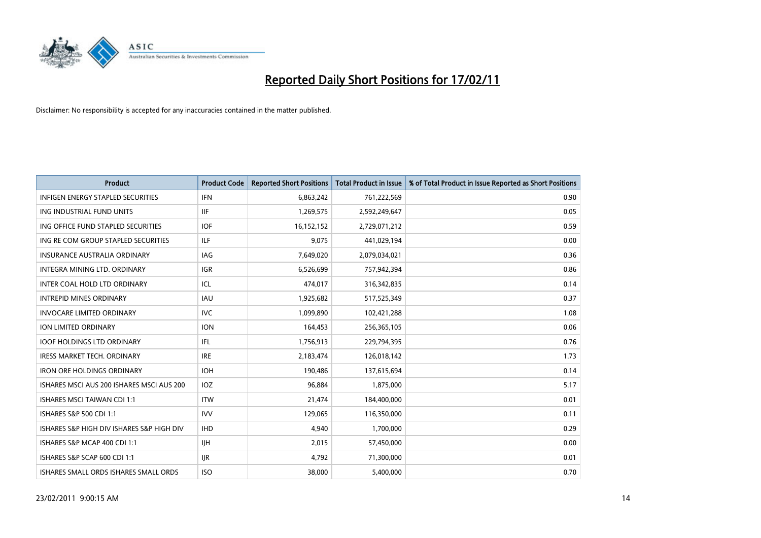

| Product                                   | <b>Product Code</b> | <b>Reported Short Positions</b> | <b>Total Product in Issue</b> | % of Total Product in Issue Reported as Short Positions |
|-------------------------------------------|---------------------|---------------------------------|-------------------------------|---------------------------------------------------------|
| <b>INFIGEN ENERGY STAPLED SECURITIES</b>  | <b>IFN</b>          | 6,863,242                       | 761,222,569                   | 0.90                                                    |
| ING INDUSTRIAL FUND UNITS                 | <b>IIF</b>          | 1,269,575                       | 2,592,249,647                 | 0.05                                                    |
| ING OFFICE FUND STAPLED SECURITIES        | <b>IOF</b>          | 16,152,152                      | 2,729,071,212                 | 0.59                                                    |
| ING RE COM GROUP STAPLED SECURITIES       | <b>ILF</b>          | 9,075                           | 441,029,194                   | 0.00                                                    |
| <b>INSURANCE AUSTRALIA ORDINARY</b>       | IAG                 | 7,649,020                       | 2,079,034,021                 | 0.36                                                    |
| INTEGRA MINING LTD. ORDINARY              | <b>IGR</b>          | 6,526,699                       | 757,942,394                   | 0.86                                                    |
| INTER COAL HOLD LTD ORDINARY              | ICL                 | 474.017                         | 316, 342, 835                 | 0.14                                                    |
| <b>INTREPID MINES ORDINARY</b>            | <b>IAU</b>          | 1,925,682                       | 517,525,349                   | 0.37                                                    |
| <b>INVOCARE LIMITED ORDINARY</b>          | <b>IVC</b>          | 1,099,890                       | 102,421,288                   | 1.08                                                    |
| ION LIMITED ORDINARY                      | <b>ION</b>          | 164,453                         | 256,365,105                   | 0.06                                                    |
| <b>IOOF HOLDINGS LTD ORDINARY</b>         | IFL                 | 1,756,913                       | 229,794,395                   | 0.76                                                    |
| <b>IRESS MARKET TECH. ORDINARY</b>        | <b>IRE</b>          | 2,183,474                       | 126,018,142                   | 1.73                                                    |
| <b>IRON ORE HOLDINGS ORDINARY</b>         | <b>IOH</b>          | 190,486                         | 137,615,694                   | 0.14                                                    |
| ISHARES MSCI AUS 200 ISHARES MSCI AUS 200 | IOZ                 | 96,884                          | 1,875,000                     | 5.17                                                    |
| <b>ISHARES MSCI TAIWAN CDI 1:1</b>        | <b>ITW</b>          | 21,474                          | 184,400,000                   | 0.01                                                    |
| ISHARES S&P 500 CDI 1:1                   | <b>IVV</b>          | 129,065                         | 116,350,000                   | 0.11                                                    |
| ISHARES S&P HIGH DIV ISHARES S&P HIGH DIV | <b>IHD</b>          | 4,940                           | 1,700,000                     | 0.29                                                    |
| ISHARES S&P MCAP 400 CDI 1:1              | <b>IIH</b>          | 2,015                           | 57,450,000                    | 0.00                                                    |
| ISHARES S&P SCAP 600 CDI 1:1              | <b>IJR</b>          | 4,792                           | 71,300,000                    | 0.01                                                    |
| ISHARES SMALL ORDS ISHARES SMALL ORDS     | <b>ISO</b>          | 38,000                          | 5,400,000                     | 0.70                                                    |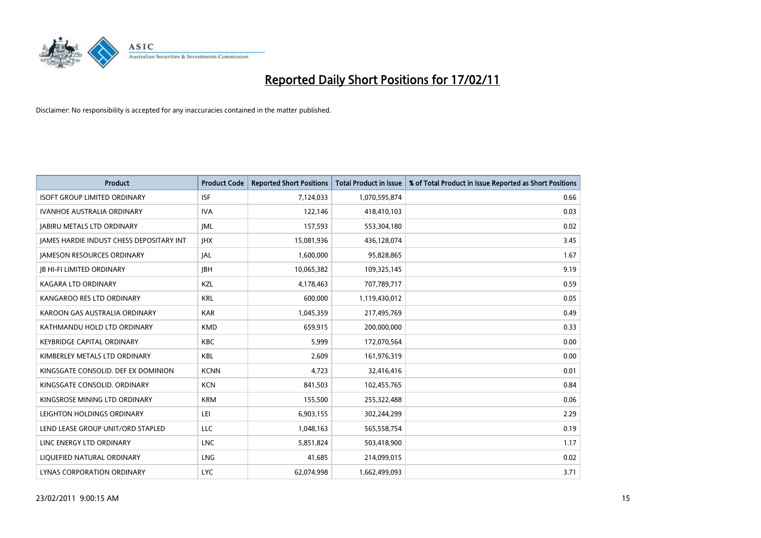

| Product                                  | <b>Product Code</b> | <b>Reported Short Positions</b> | <b>Total Product in Issue</b> | % of Total Product in Issue Reported as Short Positions |
|------------------------------------------|---------------------|---------------------------------|-------------------------------|---------------------------------------------------------|
| <b>ISOFT GROUP LIMITED ORDINARY</b>      | <b>ISF</b>          | 7,124,033                       | 1,070,595,874                 | 0.66                                                    |
| <b>IVANHOE AUSTRALIA ORDINARY</b>        | <b>IVA</b>          | 122,146                         | 418,410,103                   | 0.03                                                    |
| <b>JABIRU METALS LTD ORDINARY</b>        | <b>JML</b>          | 157,593                         | 553,304,180                   | 0.02                                                    |
| JAMES HARDIE INDUST CHESS DEPOSITARY INT | <b>IHX</b>          | 15,081,936                      | 436,128,074                   | 3.45                                                    |
| <b>IAMESON RESOURCES ORDINARY</b>        | <b>JAL</b>          | 1,600,000                       | 95,828,865                    | 1.67                                                    |
| <b>JB HI-FI LIMITED ORDINARY</b>         | <b>IBH</b>          | 10,065,382                      | 109,325,145                   | 9.19                                                    |
| KAGARA LTD ORDINARY                      | KZL                 | 4,178,463                       | 707,789,717                   | 0.59                                                    |
| KANGAROO RES LTD ORDINARY                | <b>KRL</b>          | 600,000                         | 1,119,430,012                 | 0.05                                                    |
| KAROON GAS AUSTRALIA ORDINARY            | <b>KAR</b>          | 1,045,359                       | 217,495,769                   | 0.49                                                    |
| KATHMANDU HOLD LTD ORDINARY              | <b>KMD</b>          | 659,915                         | 200,000,000                   | 0.33                                                    |
| <b>KEYBRIDGE CAPITAL ORDINARY</b>        | KBC                 | 5,999                           | 172,070,564                   | 0.00                                                    |
| KIMBERLEY METALS LTD ORDINARY            | <b>KBL</b>          | 2,609                           | 161,976,319                   | 0.00                                                    |
| KINGSGATE CONSOLID. DEF EX DOMINION      | <b>KCNN</b>         | 4.723                           | 32,416,416                    | 0.01                                                    |
| KINGSGATE CONSOLID, ORDINARY             | <b>KCN</b>          | 841,503                         | 102,455,765                   | 0.84                                                    |
| KINGSROSE MINING LTD ORDINARY            | <b>KRM</b>          | 155,500                         | 255,322,488                   | 0.06                                                    |
| LEIGHTON HOLDINGS ORDINARY               | LEI                 | 6,903,155                       | 302,244,299                   | 2.29                                                    |
| LEND LEASE GROUP UNIT/ORD STAPLED        | LLC                 | 1,048,163                       | 565,558,754                   | 0.19                                                    |
| LINC ENERGY LTD ORDINARY                 | <b>LNC</b>          | 5,851,824                       | 503,418,900                   | 1.17                                                    |
| LIOUEFIED NATURAL ORDINARY               | <b>LNG</b>          | 41,685                          | 214,099,015                   | 0.02                                                    |
| LYNAS CORPORATION ORDINARY               | <b>LYC</b>          | 62.074.998                      | 1,662,499,093                 | 3.71                                                    |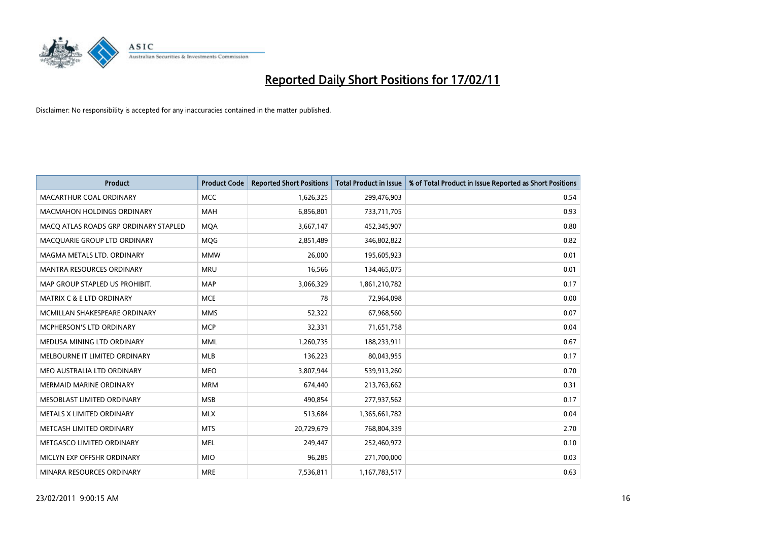

| <b>Product</b>                        | <b>Product Code</b> | <b>Reported Short Positions</b> | <b>Total Product in Issue</b> | % of Total Product in Issue Reported as Short Positions |
|---------------------------------------|---------------------|---------------------------------|-------------------------------|---------------------------------------------------------|
| <b>MACARTHUR COAL ORDINARY</b>        | <b>MCC</b>          | 1,626,325                       | 299,476,903                   | 0.54                                                    |
| <b>MACMAHON HOLDINGS ORDINARY</b>     | <b>MAH</b>          | 6,856,801                       | 733,711,705                   | 0.93                                                    |
| MACQ ATLAS ROADS GRP ORDINARY STAPLED | <b>MOA</b>          | 3,667,147                       | 452,345,907                   | 0.80                                                    |
| MACQUARIE GROUP LTD ORDINARY          | <b>MQG</b>          | 2,851,489                       | 346,802,822                   | 0.82                                                    |
| MAGMA METALS LTD. ORDINARY            | <b>MMW</b>          | 26,000                          | 195,605,923                   | 0.01                                                    |
| <b>MANTRA RESOURCES ORDINARY</b>      | <b>MRU</b>          | 16,566                          | 134,465,075                   | 0.01                                                    |
| MAP GROUP STAPLED US PROHIBIT.        | <b>MAP</b>          | 3,066,329                       | 1,861,210,782                 | 0.17                                                    |
| MATRIX C & E LTD ORDINARY             | <b>MCE</b>          | 78                              | 72,964,098                    | 0.00                                                    |
| MCMILLAN SHAKESPEARE ORDINARY         | <b>MMS</b>          | 52,322                          | 67,968,560                    | 0.07                                                    |
| <b>MCPHERSON'S LTD ORDINARY</b>       | <b>MCP</b>          | 32,331                          | 71,651,758                    | 0.04                                                    |
| MEDUSA MINING LTD ORDINARY            | <b>MML</b>          | 1,260,735                       | 188,233,911                   | 0.67                                                    |
| MELBOURNE IT LIMITED ORDINARY         | <b>MLB</b>          | 136,223                         | 80,043,955                    | 0.17                                                    |
| MEO AUSTRALIA LTD ORDINARY            | <b>MEO</b>          | 3,807,944                       | 539,913,260                   | 0.70                                                    |
| <b>MERMAID MARINE ORDINARY</b>        | <b>MRM</b>          | 674,440                         | 213,763,662                   | 0.31                                                    |
| MESOBLAST LIMITED ORDINARY            | <b>MSB</b>          | 490,854                         | 277,937,562                   | 0.17                                                    |
| METALS X LIMITED ORDINARY             | <b>MLX</b>          | 513,684                         | 1,365,661,782                 | 0.04                                                    |
| METCASH LIMITED ORDINARY              | <b>MTS</b>          | 20,729,679                      | 768,804,339                   | 2.70                                                    |
| METGASCO LIMITED ORDINARY             | <b>MEL</b>          | 249,447                         | 252,460,972                   | 0.10                                                    |
| MICLYN EXP OFFSHR ORDINARY            | <b>MIO</b>          | 96,285                          | 271,700,000                   | 0.03                                                    |
| MINARA RESOURCES ORDINARY             | <b>MRE</b>          | 7,536,811                       | 1,167,783,517                 | 0.63                                                    |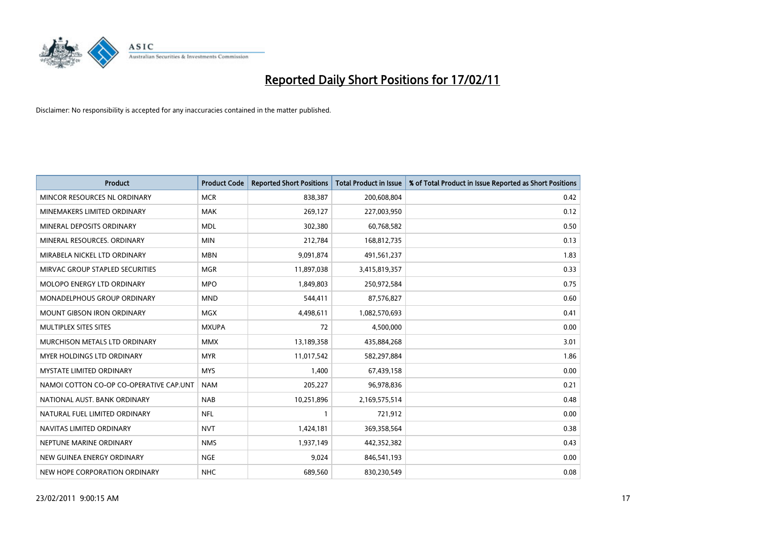

| <b>Product</b>                          | <b>Product Code</b> | <b>Reported Short Positions</b> | <b>Total Product in Issue</b> | % of Total Product in Issue Reported as Short Positions |
|-----------------------------------------|---------------------|---------------------------------|-------------------------------|---------------------------------------------------------|
| MINCOR RESOURCES NL ORDINARY            | <b>MCR</b>          | 838,387                         | 200,608,804                   | 0.42                                                    |
| MINEMAKERS LIMITED ORDINARY             | <b>MAK</b>          | 269,127                         | 227,003,950                   | 0.12                                                    |
| MINERAL DEPOSITS ORDINARY               | <b>MDL</b>          | 302,380                         | 60,768,582                    | 0.50                                                    |
| MINERAL RESOURCES. ORDINARY             | <b>MIN</b>          | 212,784                         | 168,812,735                   | 0.13                                                    |
| MIRABELA NICKEL LTD ORDINARY            | <b>MBN</b>          | 9,091,874                       | 491,561,237                   | 1.83                                                    |
| MIRVAC GROUP STAPLED SECURITIES         | <b>MGR</b>          | 11,897,038                      | 3,415,819,357                 | 0.33                                                    |
| <b>MOLOPO ENERGY LTD ORDINARY</b>       | <b>MPO</b>          | 1,849,803                       | 250,972,584                   | 0.75                                                    |
| MONADELPHOUS GROUP ORDINARY             | <b>MND</b>          | 544,411                         | 87,576,827                    | 0.60                                                    |
| <b>MOUNT GIBSON IRON ORDINARY</b>       | <b>MGX</b>          | 4,498,611                       | 1,082,570,693                 | 0.41                                                    |
| MULTIPLEX SITES SITES                   | <b>MXUPA</b>        | 72                              | 4,500,000                     | 0.00                                                    |
| MURCHISON METALS LTD ORDINARY           | <b>MMX</b>          | 13,189,358                      | 435,884,268                   | 3.01                                                    |
| <b>MYER HOLDINGS LTD ORDINARY</b>       | <b>MYR</b>          | 11,017,542                      | 582,297,884                   | 1.86                                                    |
| MYSTATE LIMITED ORDINARY                | <b>MYS</b>          | 1,400                           | 67,439,158                    | 0.00                                                    |
| NAMOI COTTON CO-OP CO-OPERATIVE CAP.UNT | <b>NAM</b>          | 205,227                         | 96,978,836                    | 0.21                                                    |
| NATIONAL AUST. BANK ORDINARY            | <b>NAB</b>          | 10,251,896                      | 2,169,575,514                 | 0.48                                                    |
| NATURAL FUEL LIMITED ORDINARY           | <b>NFL</b>          |                                 | 721,912                       | 0.00                                                    |
| NAVITAS LIMITED ORDINARY                | <b>NVT</b>          | 1,424,181                       | 369,358,564                   | 0.38                                                    |
| NEPTUNE MARINE ORDINARY                 | <b>NMS</b>          | 1,937,149                       | 442,352,382                   | 0.43                                                    |
| NEW GUINEA ENERGY ORDINARY              | <b>NGE</b>          | 9,024                           | 846,541,193                   | 0.00                                                    |
| NEW HOPE CORPORATION ORDINARY           | <b>NHC</b>          | 689,560                         | 830,230,549                   | 0.08                                                    |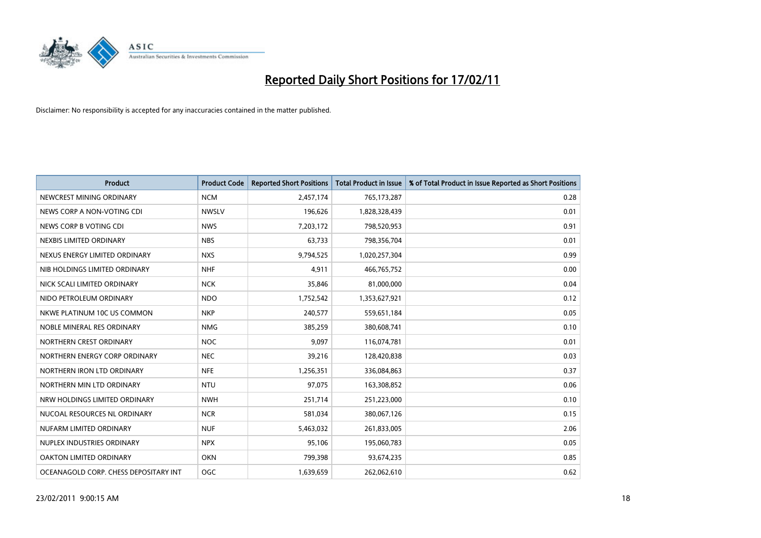

| Product                               | <b>Product Code</b> | <b>Reported Short Positions</b> | <b>Total Product in Issue</b> | % of Total Product in Issue Reported as Short Positions |
|---------------------------------------|---------------------|---------------------------------|-------------------------------|---------------------------------------------------------|
| NEWCREST MINING ORDINARY              | <b>NCM</b>          | 2,457,174                       | 765,173,287                   | 0.28                                                    |
| NEWS CORP A NON-VOTING CDI            | <b>NWSLV</b>        | 196,626                         | 1,828,328,439                 | 0.01                                                    |
| NEWS CORP B VOTING CDI                | <b>NWS</b>          | 7,203,172                       | 798,520,953                   | 0.91                                                    |
| NEXBIS LIMITED ORDINARY               | <b>NBS</b>          | 63,733                          | 798,356,704                   | 0.01                                                    |
| NEXUS ENERGY LIMITED ORDINARY         | <b>NXS</b>          | 9,794,525                       | 1,020,257,304                 | 0.99                                                    |
| NIB HOLDINGS LIMITED ORDINARY         | <b>NHF</b>          | 4,911                           | 466,765,752                   | 0.00                                                    |
| NICK SCALI LIMITED ORDINARY           | <b>NCK</b>          | 35,846                          | 81,000,000                    | 0.04                                                    |
| NIDO PETROLEUM ORDINARY               | <b>NDO</b>          | 1,752,542                       | 1,353,627,921                 | 0.12                                                    |
| NKWE PLATINUM 10C US COMMON           | <b>NKP</b>          | 240,577                         | 559,651,184                   | 0.05                                                    |
| NOBLE MINERAL RES ORDINARY            | <b>NMG</b>          | 385,259                         | 380,608,741                   | 0.10                                                    |
| NORTHERN CREST ORDINARY               | <b>NOC</b>          | 9,097                           | 116,074,781                   | 0.01                                                    |
| NORTHERN ENERGY CORP ORDINARY         | <b>NEC</b>          | 39,216                          | 128,420,838                   | 0.03                                                    |
| NORTHERN IRON LTD ORDINARY            | <b>NFE</b>          | 1,256,351                       | 336,084,863                   | 0.37                                                    |
| NORTHERN MIN LTD ORDINARY             | <b>NTU</b>          | 97,075                          | 163,308,852                   | 0.06                                                    |
| NRW HOLDINGS LIMITED ORDINARY         | <b>NWH</b>          | 251,714                         | 251,223,000                   | 0.10                                                    |
| NUCOAL RESOURCES NL ORDINARY          | <b>NCR</b>          | 581,034                         | 380,067,126                   | 0.15                                                    |
| NUFARM LIMITED ORDINARY               | <b>NUF</b>          | 5,463,032                       | 261,833,005                   | 2.06                                                    |
| NUPLEX INDUSTRIES ORDINARY            | <b>NPX</b>          | 95,106                          | 195,060,783                   | 0.05                                                    |
| OAKTON LIMITED ORDINARY               | <b>OKN</b>          | 799,398                         | 93,674,235                    | 0.85                                                    |
| OCEANAGOLD CORP. CHESS DEPOSITARY INT | <b>OGC</b>          | 1,639,659                       | 262,062,610                   | 0.62                                                    |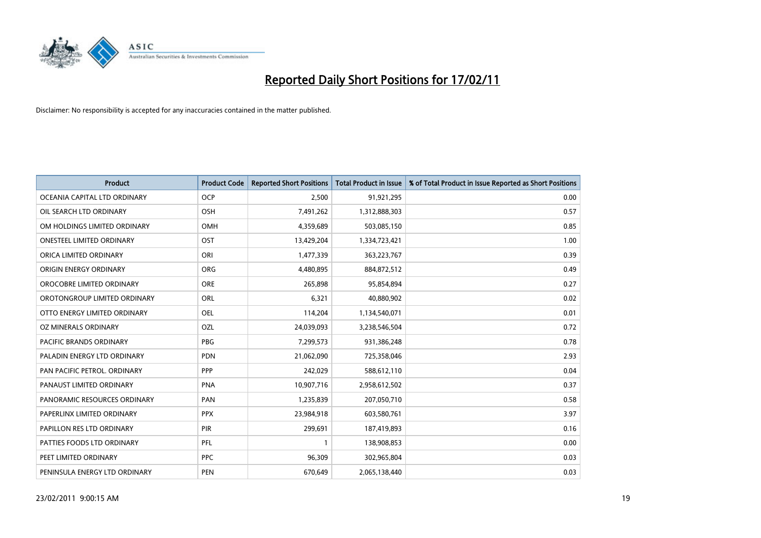

| Product                        | <b>Product Code</b> | <b>Reported Short Positions</b> | <b>Total Product in Issue</b> | % of Total Product in Issue Reported as Short Positions |
|--------------------------------|---------------------|---------------------------------|-------------------------------|---------------------------------------------------------|
| OCEANIA CAPITAL LTD ORDINARY   | <b>OCP</b>          | 2,500                           | 91,921,295                    | 0.00                                                    |
| OIL SEARCH LTD ORDINARY        | OSH                 | 7,491,262                       | 1,312,888,303                 | 0.57                                                    |
| OM HOLDINGS LIMITED ORDINARY   | OMH                 | 4,359,689                       | 503,085,150                   | 0.85                                                    |
| ONESTEEL LIMITED ORDINARY      | OST                 | 13,429,204                      | 1,334,723,421                 | 1.00                                                    |
| ORICA LIMITED ORDINARY         | ORI                 | 1,477,339                       | 363,223,767                   | 0.39                                                    |
| ORIGIN ENERGY ORDINARY         | <b>ORG</b>          | 4,480,895                       | 884,872,512                   | 0.49                                                    |
| OROCOBRE LIMITED ORDINARY      | <b>ORE</b>          | 265,898                         | 95,854,894                    | 0.27                                                    |
| OROTONGROUP LIMITED ORDINARY   | ORL                 | 6,321                           | 40,880,902                    | 0.02                                                    |
| OTTO ENERGY LIMITED ORDINARY   | <b>OEL</b>          | 114,204                         | 1,134,540,071                 | 0.01                                                    |
| OZ MINERALS ORDINARY           | OZL                 | 24,039,093                      | 3,238,546,504                 | 0.72                                                    |
| <b>PACIFIC BRANDS ORDINARY</b> | <b>PBG</b>          | 7,299,573                       | 931,386,248                   | 0.78                                                    |
| PALADIN ENERGY LTD ORDINARY    | <b>PDN</b>          | 21,062,090                      | 725,358,046                   | 2.93                                                    |
| PAN PACIFIC PETROL. ORDINARY   | PPP                 | 242,029                         | 588,612,110                   | 0.04                                                    |
| PANAUST LIMITED ORDINARY       | <b>PNA</b>          | 10,907,716                      | 2,958,612,502                 | 0.37                                                    |
| PANORAMIC RESOURCES ORDINARY   | PAN                 | 1,235,839                       | 207,050,710                   | 0.58                                                    |
| PAPERLINX LIMITED ORDINARY     | <b>PPX</b>          | 23,984,918                      | 603,580,761                   | 3.97                                                    |
| PAPILLON RES LTD ORDINARY      | PIR                 | 299,691                         | 187,419,893                   | 0.16                                                    |
| PATTIES FOODS LTD ORDINARY     | PFL                 |                                 | 138,908,853                   | 0.00                                                    |
| PEET LIMITED ORDINARY          | <b>PPC</b>          | 96,309                          | 302,965,804                   | 0.03                                                    |
| PENINSULA ENERGY LTD ORDINARY  | <b>PEN</b>          | 670.649                         | 2,065,138,440                 | 0.03                                                    |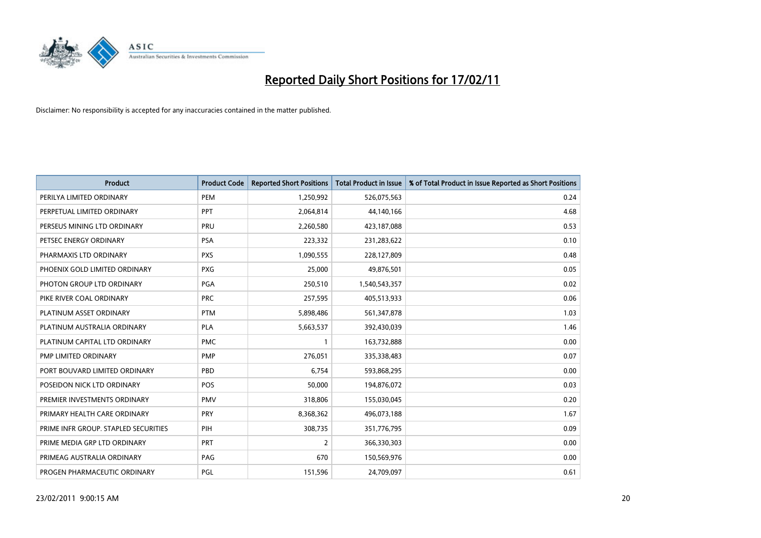

| Product                              | <b>Product Code</b> | <b>Reported Short Positions</b> | Total Product in Issue | % of Total Product in Issue Reported as Short Positions |
|--------------------------------------|---------------------|---------------------------------|------------------------|---------------------------------------------------------|
| PERILYA LIMITED ORDINARY             | PEM                 | 1,250,992                       | 526,075,563            | 0.24                                                    |
| PERPETUAL LIMITED ORDINARY           | <b>PPT</b>          | 2,064,814                       | 44,140,166             | 4.68                                                    |
| PERSEUS MINING LTD ORDINARY          | PRU                 | 2,260,580                       | 423,187,088            | 0.53                                                    |
| PETSEC ENERGY ORDINARY               | PSA                 | 223,332                         | 231,283,622            | 0.10                                                    |
| PHARMAXIS LTD ORDINARY               | <b>PXS</b>          | 1,090,555                       | 228,127,809            | 0.48                                                    |
| PHOENIX GOLD LIMITED ORDINARY        | <b>PXG</b>          | 25,000                          | 49,876,501             | 0.05                                                    |
| PHOTON GROUP LTD ORDINARY            | PGA                 | 250,510                         | 1,540,543,357          | 0.02                                                    |
| PIKE RIVER COAL ORDINARY             | <b>PRC</b>          | 257,595                         | 405,513,933            | 0.06                                                    |
| PLATINUM ASSET ORDINARY              | <b>PTM</b>          | 5,898,486                       | 561,347,878            | 1.03                                                    |
| PLATINUM AUSTRALIA ORDINARY          | <b>PLA</b>          | 5,663,537                       | 392,430,039            | 1.46                                                    |
| PLATINUM CAPITAL LTD ORDINARY        | <b>PMC</b>          |                                 | 163,732,888            | 0.00                                                    |
| PMP LIMITED ORDINARY                 | <b>PMP</b>          | 276,051                         | 335,338,483            | 0.07                                                    |
| PORT BOUVARD LIMITED ORDINARY        | PBD                 | 6,754                           | 593,868,295            | 0.00                                                    |
| POSEIDON NICK LTD ORDINARY           | <b>POS</b>          | 50,000                          | 194,876,072            | 0.03                                                    |
| PREMIER INVESTMENTS ORDINARY         | <b>PMV</b>          | 318,806                         | 155,030,045            | 0.20                                                    |
| PRIMARY HEALTH CARE ORDINARY         | PRY                 | 8,368,362                       | 496,073,188            | 1.67                                                    |
| PRIME INFR GROUP. STAPLED SECURITIES | PIH                 | 308,735                         | 351,776,795            | 0.09                                                    |
| PRIME MEDIA GRP LTD ORDINARY         | <b>PRT</b>          | 2                               | 366,330,303            | 0.00                                                    |
| PRIMEAG AUSTRALIA ORDINARY           | PAG                 | 670                             | 150,569,976            | 0.00                                                    |
| PROGEN PHARMACEUTIC ORDINARY         | PGL                 | 151,596                         | 24,709,097             | 0.61                                                    |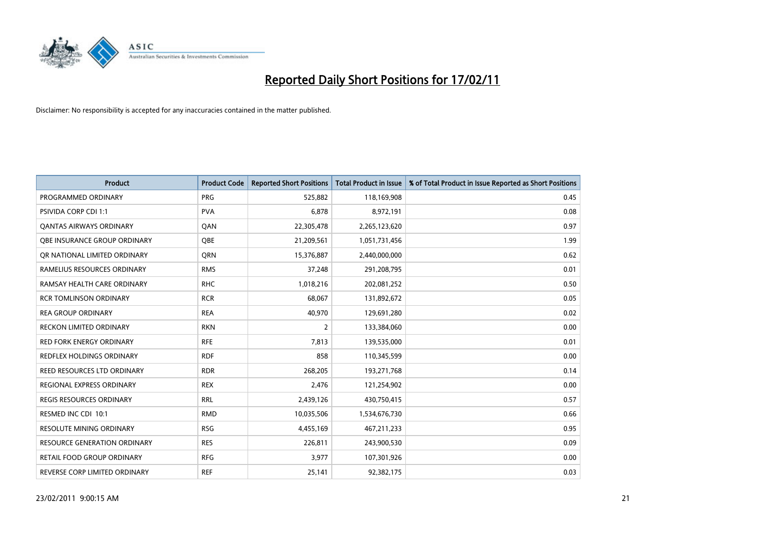

| Product                           | <b>Product Code</b> | <b>Reported Short Positions</b> | Total Product in Issue | % of Total Product in Issue Reported as Short Positions |
|-----------------------------------|---------------------|---------------------------------|------------------------|---------------------------------------------------------|
| PROGRAMMED ORDINARY               | <b>PRG</b>          | 525,882                         | 118,169,908            | 0.45                                                    |
| <b>PSIVIDA CORP CDI 1:1</b>       | <b>PVA</b>          | 6,878                           | 8,972,191              | 0.08                                                    |
| <b>QANTAS AIRWAYS ORDINARY</b>    | QAN                 | 22,305,478                      | 2,265,123,620          | 0.97                                                    |
| OBE INSURANCE GROUP ORDINARY      | <b>OBE</b>          | 21,209,561                      | 1,051,731,456          | 1.99                                                    |
| OR NATIONAL LIMITED ORDINARY      | <b>ORN</b>          | 15,376,887                      | 2,440,000,000          | 0.62                                                    |
| RAMELIUS RESOURCES ORDINARY       | <b>RMS</b>          | 37,248                          | 291,208,795            | 0.01                                                    |
| RAMSAY HEALTH CARE ORDINARY       | <b>RHC</b>          | 1,018,216                       | 202,081,252            | 0.50                                                    |
| <b>RCR TOMLINSON ORDINARY</b>     | <b>RCR</b>          | 68,067                          | 131,892,672            | 0.05                                                    |
| <b>REA GROUP ORDINARY</b>         | <b>REA</b>          | 40,970                          | 129,691,280            | 0.02                                                    |
| <b>RECKON LIMITED ORDINARY</b>    | <b>RKN</b>          | $\overline{2}$                  | 133,384,060            | 0.00                                                    |
| <b>RED FORK ENERGY ORDINARY</b>   | <b>RFE</b>          | 7,813                           | 139,535,000            | 0.01                                                    |
| REDFLEX HOLDINGS ORDINARY         | <b>RDF</b>          | 858                             | 110,345,599            | 0.00                                                    |
| REED RESOURCES LTD ORDINARY       | <b>RDR</b>          | 268,205                         | 193,271,768            | 0.14                                                    |
| <b>REGIONAL EXPRESS ORDINARY</b>  | <b>REX</b>          | 2,476                           | 121,254,902            | 0.00                                                    |
| <b>REGIS RESOURCES ORDINARY</b>   | <b>RRL</b>          | 2,439,126                       | 430,750,415            | 0.57                                                    |
| RESMED INC CDI 10:1               | <b>RMD</b>          | 10,035,506                      | 1,534,676,730          | 0.66                                                    |
| <b>RESOLUTE MINING ORDINARY</b>   | <b>RSG</b>          | 4,455,169                       | 467,211,233            | 0.95                                                    |
| RESOURCE GENERATION ORDINARY      | <b>RES</b>          | 226,811                         | 243,900,530            | 0.09                                                    |
| <b>RETAIL FOOD GROUP ORDINARY</b> | <b>RFG</b>          | 3,977                           | 107,301,926            | 0.00                                                    |
| REVERSE CORP LIMITED ORDINARY     | <b>REF</b>          | 25,141                          | 92,382,175             | 0.03                                                    |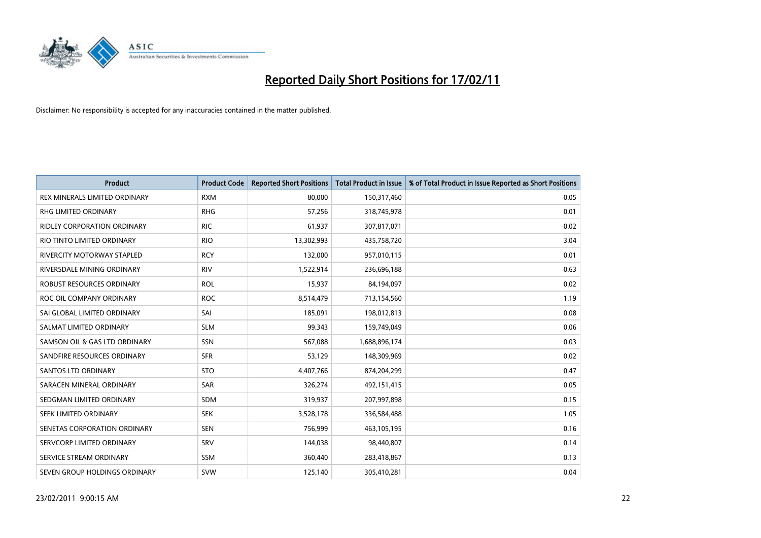

| <b>Product</b>                    | <b>Product Code</b> | <b>Reported Short Positions</b> | <b>Total Product in Issue</b> | % of Total Product in Issue Reported as Short Positions |
|-----------------------------------|---------------------|---------------------------------|-------------------------------|---------------------------------------------------------|
| REX MINERALS LIMITED ORDINARY     | <b>RXM</b>          | 80,000                          | 150,317,460                   | 0.05                                                    |
| <b>RHG LIMITED ORDINARY</b>       | <b>RHG</b>          | 57,256                          | 318,745,978                   | 0.01                                                    |
| RIDLEY CORPORATION ORDINARY       | <b>RIC</b>          | 61,937                          | 307,817,071                   | 0.02                                                    |
| RIO TINTO LIMITED ORDINARY        | <b>RIO</b>          | 13,302,993                      | 435,758,720                   | 3.04                                                    |
| <b>RIVERCITY MOTORWAY STAPLED</b> | <b>RCY</b>          | 132,000                         | 957,010,115                   | 0.01                                                    |
| RIVERSDALE MINING ORDINARY        | <b>RIV</b>          | 1,522,914                       | 236,696,188                   | 0.63                                                    |
| ROBUST RESOURCES ORDINARY         | <b>ROL</b>          | 15,937                          | 84,194,097                    | 0.02                                                    |
| ROC OIL COMPANY ORDINARY          | <b>ROC</b>          | 8,514,479                       | 713,154,560                   | 1.19                                                    |
| SAI GLOBAL LIMITED ORDINARY       | SAI                 | 185,091                         | 198,012,813                   | 0.08                                                    |
| SALMAT LIMITED ORDINARY           | <b>SLM</b>          | 99.343                          | 159,749,049                   | 0.06                                                    |
| SAMSON OIL & GAS LTD ORDINARY     | SSN                 | 567,088                         | 1,688,896,174                 | 0.03                                                    |
| SANDFIRE RESOURCES ORDINARY       | <b>SFR</b>          | 53,129                          | 148,309,969                   | 0.02                                                    |
| <b>SANTOS LTD ORDINARY</b>        | <b>STO</b>          | 4,407,766                       | 874,204,299                   | 0.47                                                    |
| SARACEN MINERAL ORDINARY          | <b>SAR</b>          | 326,274                         | 492,151,415                   | 0.05                                                    |
| SEDGMAN LIMITED ORDINARY          | <b>SDM</b>          | 319,937                         | 207,997,898                   | 0.15                                                    |
| SEEK LIMITED ORDINARY             | <b>SEK</b>          | 3,528,178                       | 336,584,488                   | 1.05                                                    |
| SENETAS CORPORATION ORDINARY      | <b>SEN</b>          | 756,999                         | 463,105,195                   | 0.16                                                    |
| SERVCORP LIMITED ORDINARY         | SRV                 | 144,038                         | 98,440,807                    | 0.14                                                    |
| SERVICE STREAM ORDINARY           | <b>SSM</b>          | 360,440                         | 283,418,867                   | 0.13                                                    |
| SEVEN GROUP HOLDINGS ORDINARY     | <b>SVW</b>          | 125,140                         | 305,410,281                   | 0.04                                                    |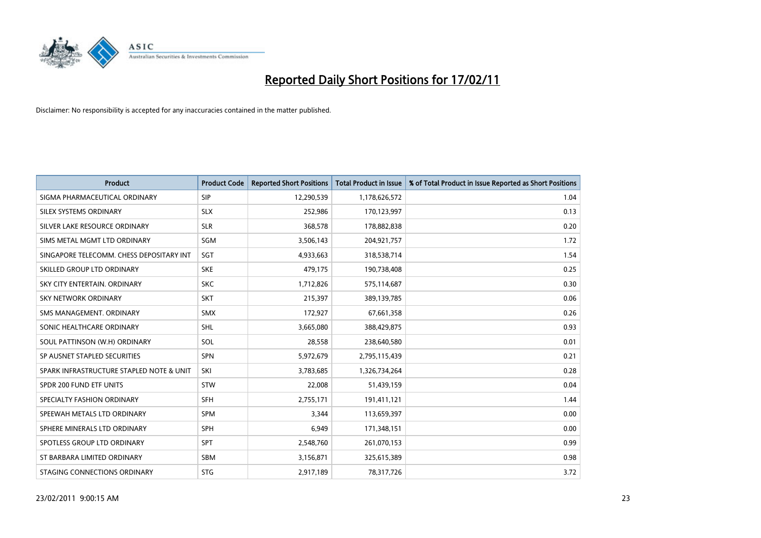

| <b>Product</b>                           | <b>Product Code</b> | <b>Reported Short Positions</b> | Total Product in Issue | % of Total Product in Issue Reported as Short Positions |
|------------------------------------------|---------------------|---------------------------------|------------------------|---------------------------------------------------------|
| SIGMA PHARMACEUTICAL ORDINARY            | <b>SIP</b>          | 12,290,539                      | 1,178,626,572          | 1.04                                                    |
| SILEX SYSTEMS ORDINARY                   | <b>SLX</b>          | 252,986                         | 170,123,997            | 0.13                                                    |
| SILVER LAKE RESOURCE ORDINARY            | <b>SLR</b>          | 368,578                         | 178,882,838            | 0.20                                                    |
| SIMS METAL MGMT LTD ORDINARY             | SGM                 | 3,506,143                       | 204,921,757            | 1.72                                                    |
| SINGAPORE TELECOMM. CHESS DEPOSITARY INT | SGT                 | 4,933,663                       | 318,538,714            | 1.54                                                    |
| SKILLED GROUP LTD ORDINARY               | <b>SKE</b>          | 479,175                         | 190,738,408            | 0.25                                                    |
| SKY CITY ENTERTAIN, ORDINARY             | <b>SKC</b>          | 1,712,826                       | 575,114,687            | 0.30                                                    |
| <b>SKY NETWORK ORDINARY</b>              | <b>SKT</b>          | 215,397                         | 389,139,785            | 0.06                                                    |
| SMS MANAGEMENT, ORDINARY                 | <b>SMX</b>          | 172,927                         | 67,661,358             | 0.26                                                    |
| SONIC HEALTHCARE ORDINARY                | <b>SHL</b>          | 3,665,080                       | 388,429,875            | 0.93                                                    |
| SOUL PATTINSON (W.H) ORDINARY            | SOL                 | 28,558                          | 238,640,580            | 0.01                                                    |
| SP AUSNET STAPLED SECURITIES             | <b>SPN</b>          | 5,972,679                       | 2,795,115,439          | 0.21                                                    |
| SPARK INFRASTRUCTURE STAPLED NOTE & UNIT | SKI                 | 3.783.685                       | 1,326,734,264          | 0.28                                                    |
| SPDR 200 FUND ETF UNITS                  | <b>STW</b>          | 22,008                          | 51,439,159             | 0.04                                                    |
| SPECIALTY FASHION ORDINARY               | <b>SFH</b>          | 2,755,171                       | 191,411,121            | 1.44                                                    |
| SPEEWAH METALS LTD ORDINARY              | <b>SPM</b>          | 3.344                           | 113,659,397            | 0.00                                                    |
| SPHERE MINERALS LTD ORDINARY             | <b>SPH</b>          | 6,949                           | 171,348,151            | 0.00                                                    |
| SPOTLESS GROUP LTD ORDINARY              | <b>SPT</b>          | 2,548,760                       | 261,070,153            | 0.99                                                    |
| ST BARBARA LIMITED ORDINARY              | <b>SBM</b>          | 3,156,871                       | 325,615,389            | 0.98                                                    |
| STAGING CONNECTIONS ORDINARY             | <b>STG</b>          | 2,917,189                       | 78,317,726             | 3.72                                                    |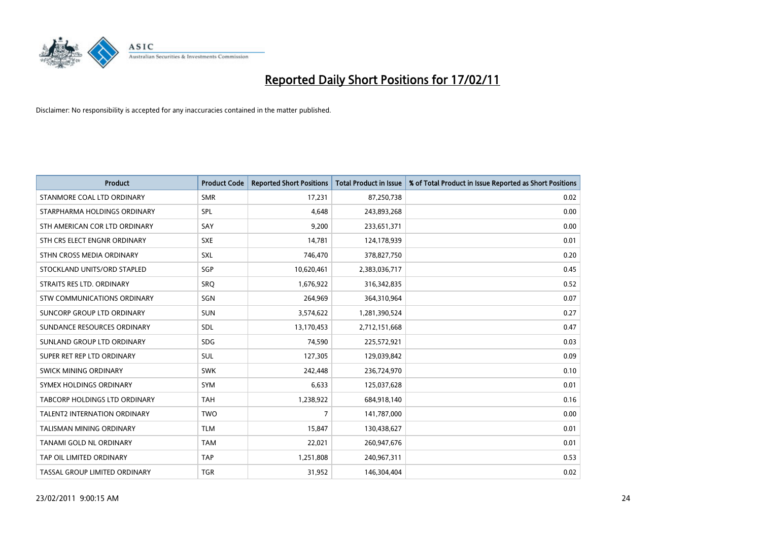

| <b>Product</b>                       | <b>Product Code</b> | <b>Reported Short Positions</b> | <b>Total Product in Issue</b> | % of Total Product in Issue Reported as Short Positions |
|--------------------------------------|---------------------|---------------------------------|-------------------------------|---------------------------------------------------------|
| STANMORE COAL LTD ORDINARY           | <b>SMR</b>          | 17,231                          | 87,250,738                    | 0.02                                                    |
| STARPHARMA HOLDINGS ORDINARY         | SPL                 | 4,648                           | 243,893,268                   | 0.00                                                    |
| STH AMERICAN COR LTD ORDINARY        | SAY                 | 9,200                           | 233,651,371                   | 0.00                                                    |
| STH CRS ELECT ENGNR ORDINARY         | <b>SXE</b>          | 14,781                          | 124,178,939                   | 0.01                                                    |
| STHN CROSS MEDIA ORDINARY            | SXL                 | 746,470                         | 378,827,750                   | 0.20                                                    |
| STOCKLAND UNITS/ORD STAPLED          | SGP                 | 10,620,461                      | 2,383,036,717                 | 0.45                                                    |
| STRAITS RES LTD. ORDINARY            | SRO                 | 1,676,922                       | 316, 342, 835                 | 0.52                                                    |
| STW COMMUNICATIONS ORDINARY          | SGN                 | 264,969                         | 364,310,964                   | 0.07                                                    |
| SUNCORP GROUP LTD ORDINARY           | <b>SUN</b>          | 3,574,622                       | 1,281,390,524                 | 0.27                                                    |
| SUNDANCE RESOURCES ORDINARY          | SDL                 | 13,170,453                      | 2,712,151,668                 | 0.47                                                    |
| SUNLAND GROUP LTD ORDINARY           | <b>SDG</b>          | 74,590                          | 225,572,921                   | 0.03                                                    |
| SUPER RET REP LTD ORDINARY           | <b>SUL</b>          | 127,305                         | 129,039,842                   | 0.09                                                    |
| SWICK MINING ORDINARY                | <b>SWK</b>          | 242,448                         | 236,724,970                   | 0.10                                                    |
| SYMEX HOLDINGS ORDINARY              | <b>SYM</b>          | 6,633                           | 125,037,628                   | 0.01                                                    |
| <b>TABCORP HOLDINGS LTD ORDINARY</b> | <b>TAH</b>          | 1,238,922                       | 684,918,140                   | 0.16                                                    |
| <b>TALENT2 INTERNATION ORDINARY</b>  | <b>TWO</b>          | 7                               | 141,787,000                   | 0.00                                                    |
| TALISMAN MINING ORDINARY             | <b>TLM</b>          | 15,847                          | 130,438,627                   | 0.01                                                    |
| TANAMI GOLD NL ORDINARY              | <b>TAM</b>          | 22,021                          | 260,947,676                   | 0.01                                                    |
| TAP OIL LIMITED ORDINARY             | <b>TAP</b>          | 1,251,808                       | 240,967,311                   | 0.53                                                    |
| TASSAL GROUP LIMITED ORDINARY        | <b>TGR</b>          | 31,952                          | 146,304,404                   | 0.02                                                    |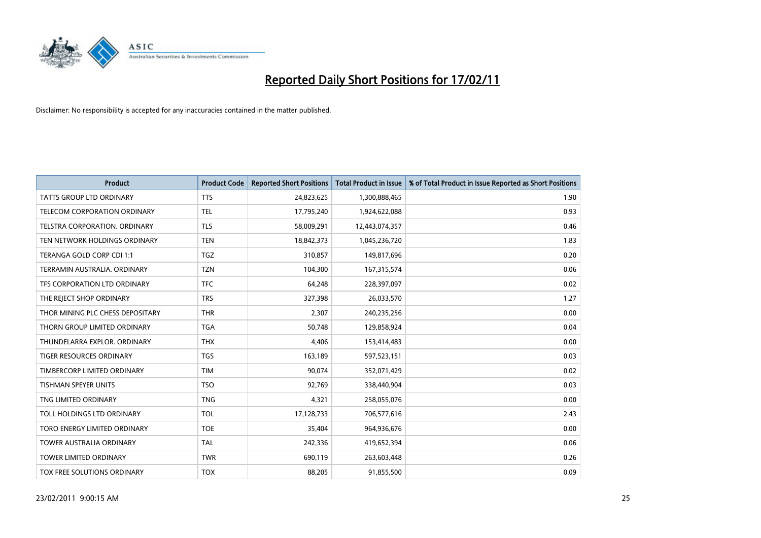

| <b>Product</b>                   | <b>Product Code</b> | <b>Reported Short Positions</b> | Total Product in Issue | % of Total Product in Issue Reported as Short Positions |
|----------------------------------|---------------------|---------------------------------|------------------------|---------------------------------------------------------|
| <b>TATTS GROUP LTD ORDINARY</b>  | <b>TTS</b>          | 24,823,625                      | 1,300,888,465          | 1.90                                                    |
| TELECOM CORPORATION ORDINARY     | <b>TEL</b>          | 17,795,240                      | 1,924,622,088          | 0.93                                                    |
| TELSTRA CORPORATION, ORDINARY    | <b>TLS</b>          | 58,009,291                      | 12,443,074,357         | 0.46                                                    |
| TEN NETWORK HOLDINGS ORDINARY    | <b>TEN</b>          | 18,842,373                      | 1,045,236,720          | 1.83                                                    |
| TERANGA GOLD CORP CDI 1:1        | <b>TGZ</b>          | 310,857                         | 149,817,696            | 0.20                                                    |
| TERRAMIN AUSTRALIA, ORDINARY     | <b>TZN</b>          | 104,300                         | 167,315,574            | 0.06                                                    |
| TFS CORPORATION LTD ORDINARY     | <b>TFC</b>          | 64,248                          | 228,397,097            | 0.02                                                    |
| THE REJECT SHOP ORDINARY         | <b>TRS</b>          | 327,398                         | 26,033,570             | 1.27                                                    |
| THOR MINING PLC CHESS DEPOSITARY | <b>THR</b>          | 2,307                           | 240,235,256            | 0.00                                                    |
| THORN GROUP LIMITED ORDINARY     | <b>TGA</b>          | 50,748                          | 129,858,924            | 0.04                                                    |
| THUNDELARRA EXPLOR, ORDINARY     | <b>THX</b>          | 4,406                           | 153,414,483            | 0.00                                                    |
| <b>TIGER RESOURCES ORDINARY</b>  | <b>TGS</b>          | 163,189                         | 597,523,151            | 0.03                                                    |
| TIMBERCORP LIMITED ORDINARY      | <b>TIM</b>          | 90,074                          | 352,071,429            | 0.02                                                    |
| <b>TISHMAN SPEYER UNITS</b>      | <b>TSO</b>          | 92,769                          | 338,440,904            | 0.03                                                    |
| TNG LIMITED ORDINARY             | <b>TNG</b>          | 4,321                           | 258,055,076            | 0.00                                                    |
| TOLL HOLDINGS LTD ORDINARY       | <b>TOL</b>          | 17,128,733                      | 706,577,616            | 2.43                                                    |
| TORO ENERGY LIMITED ORDINARY     | <b>TOE</b>          | 35,404                          | 964,936,676            | 0.00                                                    |
| TOWER AUSTRALIA ORDINARY         | <b>TAL</b>          | 242,336                         | 419,652,394            | 0.06                                                    |
| <b>TOWER LIMITED ORDINARY</b>    | <b>TWR</b>          | 690,119                         | 263,603,448            | 0.26                                                    |
| TOX FREE SOLUTIONS ORDINARY      | <b>TOX</b>          | 88,205                          | 91,855,500             | 0.09                                                    |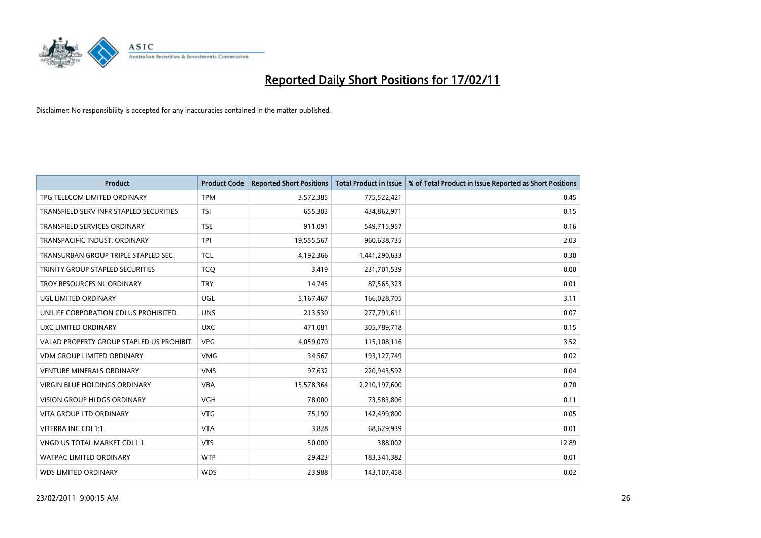

| <b>Product</b>                            | <b>Product Code</b> | <b>Reported Short Positions</b> | Total Product in Issue | % of Total Product in Issue Reported as Short Positions |
|-------------------------------------------|---------------------|---------------------------------|------------------------|---------------------------------------------------------|
| TPG TELECOM LIMITED ORDINARY              | <b>TPM</b>          | 3,572,385                       | 775,522,421            | 0.45                                                    |
| TRANSFIELD SERV INFR STAPLED SECURITIES   | <b>TSI</b>          | 655,303                         | 434,862,971            | 0.15                                                    |
| <b>TRANSFIELD SERVICES ORDINARY</b>       | <b>TSE</b>          | 911,091                         | 549,715,957            | 0.16                                                    |
| TRANSPACIFIC INDUST. ORDINARY             | <b>TPI</b>          | 19,555,567                      | 960,638,735            | 2.03                                                    |
| TRANSURBAN GROUP TRIPLE STAPLED SEC.      | <b>TCL</b>          | 4,192,366                       | 1,441,290,633          | 0.30                                                    |
| TRINITY GROUP STAPLED SECURITIES          | <b>TCO</b>          | 3,419                           | 231,701,539            | 0.00                                                    |
| TROY RESOURCES NL ORDINARY                | <b>TRY</b>          | 14,745                          | 87,565,323             | 0.01                                                    |
| UGL LIMITED ORDINARY                      | <b>UGL</b>          | 5,167,467                       | 166,028,705            | 3.11                                                    |
| UNILIFE CORPORATION CDI US PROHIBITED     | <b>UNS</b>          | 213,530                         | 277,791,611            | 0.07                                                    |
| UXC LIMITED ORDINARY                      | <b>UXC</b>          | 471,081                         | 305,789,718            | 0.15                                                    |
| VALAD PROPERTY GROUP STAPLED US PROHIBIT. | <b>VPG</b>          | 4,059,070                       | 115,108,116            | 3.52                                                    |
| <b>VDM GROUP LIMITED ORDINARY</b>         | <b>VMG</b>          | 34,567                          | 193,127,749            | 0.02                                                    |
| <b>VENTURE MINERALS ORDINARY</b>          | <b>VMS</b>          | 97,632                          | 220,943,592            | 0.04                                                    |
| <b>VIRGIN BLUE HOLDINGS ORDINARY</b>      | <b>VBA</b>          | 15,578,364                      | 2,210,197,600          | 0.70                                                    |
| <b>VISION GROUP HLDGS ORDINARY</b>        | <b>VGH</b>          | 78,000                          | 73,583,806             | 0.11                                                    |
| <b>VITA GROUP LTD ORDINARY</b>            | <b>VTG</b>          | 75,190                          | 142,499,800            | 0.05                                                    |
| VITERRA INC CDI 1:1                       | <b>VTA</b>          | 3,828                           | 68,629,939             | 0.01                                                    |
| VNGD US TOTAL MARKET CDI 1:1              | <b>VTS</b>          | 50,000                          | 388,002                | 12.89                                                   |
| <b>WATPAC LIMITED ORDINARY</b>            | <b>WTP</b>          | 29,423                          | 183,341,382            | 0.01                                                    |
| <b>WDS LIMITED ORDINARY</b>               | <b>WDS</b>          | 23,988                          | 143,107,458            | 0.02                                                    |